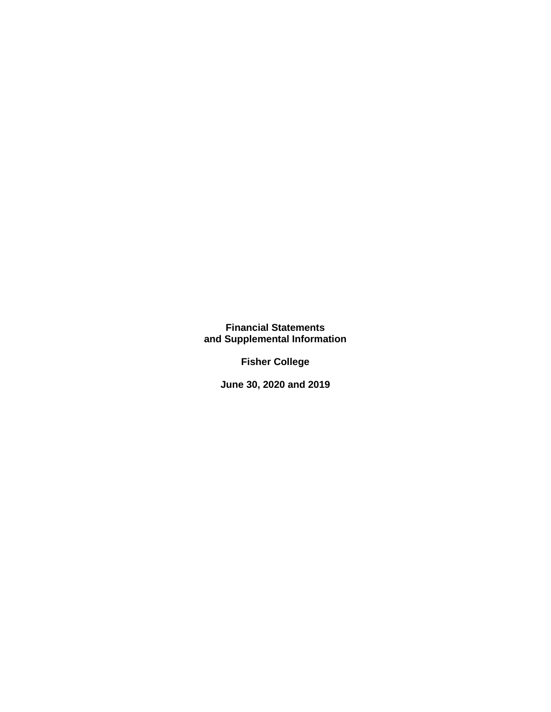**Financial Statements and Supplemental Information**

**Fisher College**

**June 30, 2020 and 2019**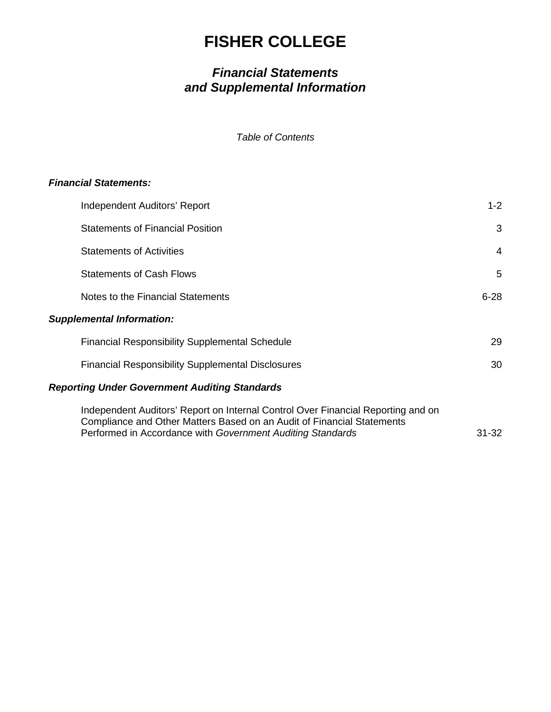# *Financial Statements and Supplemental Information*

*Table of Contents*

#### *Financial Statements:*

| Independent Auditors' Report                             | $1 - 2$        |
|----------------------------------------------------------|----------------|
| <b>Statements of Financial Position</b>                  | 3              |
| <b>Statements of Activities</b>                          | $\overline{4}$ |
| <b>Statements of Cash Flows</b>                          | 5              |
| Notes to the Financial Statements                        | $6 - 28$       |
| <b>Supplemental Information:</b>                         |                |
| <b>Financial Responsibility Supplemental Schedule</b>    | 29             |
| <b>Financial Responsibility Supplemental Disclosures</b> | 30             |
| <b>Reporting Under Government Auditing Standards</b>     |                |

Independent Auditors' Report on Internal Control Over Financial Reporting and on Compliance and Other Matters Based on an Audit of Financial Statements Performed in Accordance with *Government Auditing Standards* 31-32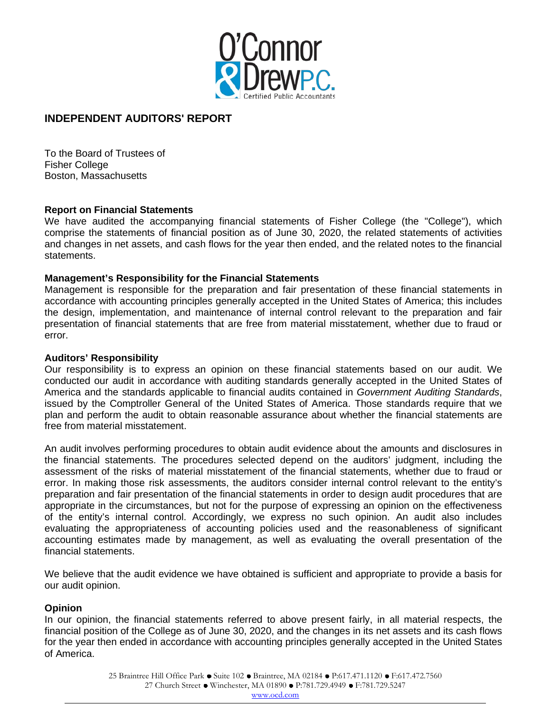

## **INDEPENDENT AUDITORS' REPORT**

To the Board of Trustees of Fisher College Boston, Massachusetts

#### **Report on Financial Statements**

We have audited the accompanying financial statements of Fisher College (the "College"), which comprise the statements of financial position as of June 30, 2020, the related statements of activities and changes in net assets, and cash flows for the year then ended, and the related notes to the financial statements.

#### **Management's Responsibility for the Financial Statements**

Management is responsible for the preparation and fair presentation of these financial statements in accordance with accounting principles generally accepted in the United States of America; this includes the design, implementation, and maintenance of internal control relevant to the preparation and fair presentation of financial statements that are free from material misstatement, whether due to fraud or error.

#### **Auditors' Responsibility**

Our responsibility is to express an opinion on these financial statements based on our audit. We conducted our audit in accordance with auditing standards generally accepted in the United States of America and the standards applicable to financial audits contained in *Government Auditing Standards*, issued by the Comptroller General of the United States of America. Those standards require that we plan and perform the audit to obtain reasonable assurance about whether the financial statements are free from material misstatement.

An audit involves performing procedures to obtain audit evidence about the amounts and disclosures in the financial statements. The procedures selected depend on the auditors' judgment, including the assessment of the risks of material misstatement of the financial statements, whether due to fraud or error. In making those risk assessments, the auditors consider internal control relevant to the entity's preparation and fair presentation of the financial statements in order to design audit procedures that are appropriate in the circumstances, but not for the purpose of expressing an opinion on the effectiveness of the entity's internal control. Accordingly, we express no such opinion. An audit also includes evaluating the appropriateness of accounting policies used and the reasonableness of significant accounting estimates made by management, as well as evaluating the overall presentation of the financial statements.

We believe that the audit evidence we have obtained is sufficient and appropriate to provide a basis for our audit opinion.

#### **Opinion**

In our opinion, the financial statements referred to above present fairly, in all material respects, the financial position of the College as of June 30, 2020, and the changes in its net assets and its cash flows for the year then ended in accordance with accounting principles generally accepted in the United States of America.

> 25 Braintree Hill Office Park • Suite 102 • Braintree, MA 02184 • P:617.471.1120 • F:617.472.7560 27 Church Street • Winchester, MA 01890 • P:781.729.4949 • F:781.729.5247

www.ocd.com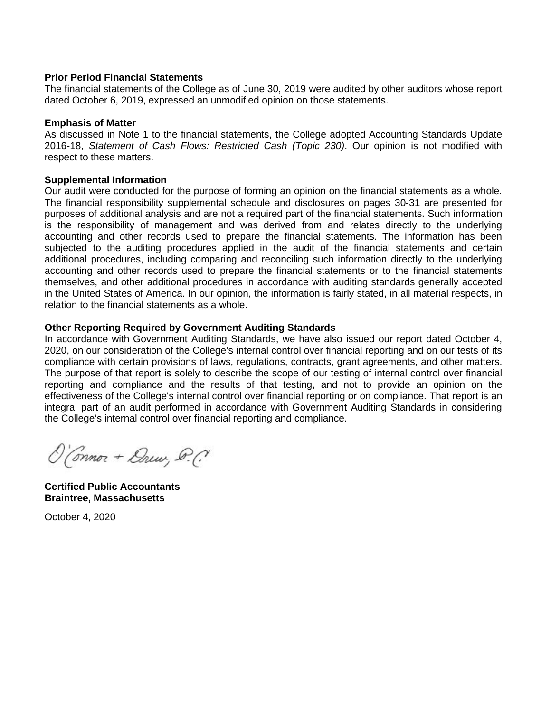#### **Prior Period Financial Statements**

The financial statements of the College as of June 30, 2019 were audited by other auditors whose report dated October 6, 2019, expressed an unmodified opinion on those statements.

#### **Emphasis of Matter**

As discussed in Note 1 to the financial statements, the College adopted Accounting Standards Update 2016-18, *Statement of Cash Flows: Restricted Cash (Topic 230)*. Our opinion is not modified with respect to these matters.

#### **Supplemental Information**

Our audit were conducted for the purpose of forming an opinion on the financial statements as a whole. The financial responsibility supplemental schedule and disclosures on pages 30-31 are presented for purposes of additional analysis and are not a required part of the financial statements. Such information is the responsibility of management and was derived from and relates directly to the underlying accounting and other records used to prepare the financial statements. The information has been subjected to the auditing procedures applied in the audit of the financial statements and certain additional procedures, including comparing and reconciling such information directly to the underlying accounting and other records used to prepare the financial statements or to the financial statements themselves, and other additional procedures in accordance with auditing standards generally accepted in the United States of America. In our opinion, the information is fairly stated, in all material respects, in relation to the financial statements as a whole.

#### **Other Reporting Required by Government Auditing Standards**

In accordance with Government Auditing Standards, we have also issued our report dated October 4, 2020, on our consideration of the College's internal control over financial reporting and on our tests of its compliance with certain provisions of laws, regulations, contracts, grant agreements, and other matters. The purpose of that report is solely to describe the scope of our testing of internal control over financial reporting and compliance and the results of that testing, and not to provide an opinion on the effectiveness of the College's internal control over financial reporting or on compliance. That report is an integral part of an audit performed in accordance with Government Auditing Standards in considering the College's internal control over financial reporting and compliance.

O'Connor + Druw, Q.C.

**Certified Public Accountants Braintree, Massachusetts**

October 4, 2020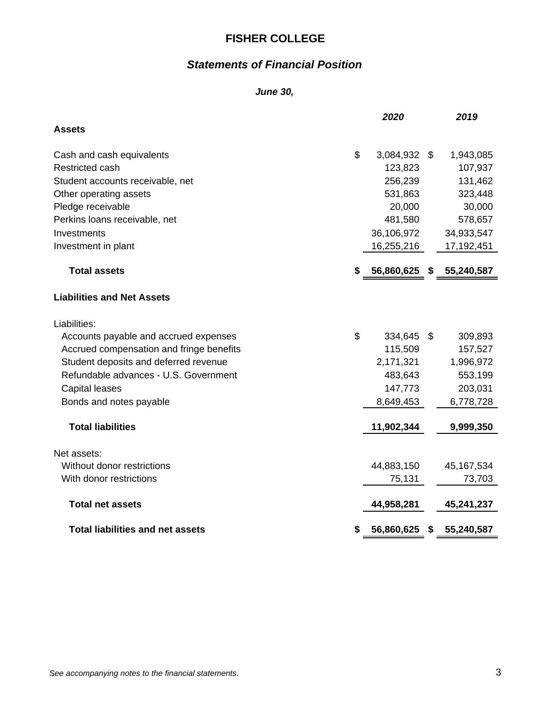## *Statements of Financial Position*

## *June 30,*

|                                          |                | 2020       | 2019             |
|------------------------------------------|----------------|------------|------------------|
| <b>Assets</b>                            |                |            |                  |
| Cash and cash equivalents                | $\mathfrak{S}$ | 3,084,932  | \$<br>1,943,085  |
| Restricted cash                          |                | 123,823    | 107,937          |
| Student accounts receivable, net         |                | 256,239    | 131,462          |
| Other operating assets                   |                | 531,863    | 323,448          |
| Pledge receivable                        |                | 20,000     | 30,000           |
| Perkins loans receivable, net            |                | 481,580    | 578,657          |
| Investments                              |                | 36,106,972 | 34,933,547       |
| Investment in plant                      |                | 16,255,216 | 17,192,451       |
| <b>Total assets</b>                      |                | 56,860,625 | \$5,240,587      |
| <b>Liabilities and Net Assets</b>        |                |            |                  |
| Liabilities:                             |                |            |                  |
| Accounts payable and accrued expenses    | \$             | 334,645    | \$<br>309,893    |
| Accrued compensation and fringe benefits |                | 115,509    | 157,527          |
| Student deposits and deferred revenue    |                | 2,171,321  | 1,996,972        |
| Refundable advances - U.S. Government    |                | 483,643    | 553,199          |
| Capital leases                           |                | 147,773    | 203,031          |
| Bonds and notes payable                  |                | 8,649,453  | 6,778,728        |
| <b>Total liabilities</b>                 |                | 11,902,344 | 9,999,350        |
| Net assets:                              |                |            |                  |
| Without donor restrictions               |                | 44,883,150 | 45, 167, 534     |
| With donor restrictions                  |                | 75,131     | 73,703           |
| <b>Total net assets</b>                  |                | 44,958,281 | 45,241,237       |
| <b>Total liabilities and net assets</b>  | \$             | 56,860,625 | \$<br>55,240,587 |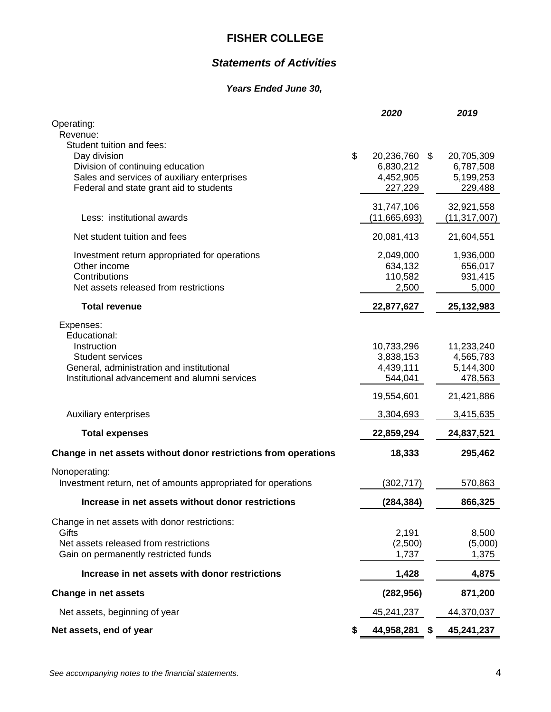## *Statements of Activities*

### *Years Ended June 30,*

|                                                                 | 2020             | 2019             |
|-----------------------------------------------------------------|------------------|------------------|
| Operating:                                                      |                  |                  |
| Revenue:                                                        |                  |                  |
| Student tuition and fees:<br>Day division                       | \$<br>20,236,760 | \$<br>20,705,309 |
| Division of continuing education                                | 6,830,212        | 6,787,508        |
| Sales and services of auxiliary enterprises                     | 4,452,905        | 5,199,253        |
| Federal and state grant aid to students                         | 227,229          | 229,488          |
|                                                                 | 31,747,106       | 32,921,558       |
| Less: institutional awards                                      | (11,665,693)     | (11, 317, 007)   |
| Net student tuition and fees                                    | 20,081,413       | 21,604,551       |
|                                                                 |                  |                  |
| Investment return appropriated for operations                   | 2,049,000        | 1,936,000        |
| Other income                                                    | 634,132          | 656,017          |
| Contributions                                                   | 110,582          | 931,415          |
| Net assets released from restrictions                           | 2,500            | 5,000            |
| <b>Total revenue</b>                                            | 22,877,627       | 25,132,983       |
| Expenses:                                                       |                  |                  |
| Educational:                                                    |                  |                  |
| Instruction                                                     | 10,733,296       | 11,233,240       |
| <b>Student services</b>                                         | 3,838,153        | 4,565,783        |
| General, administration and institutional                       | 4,439,111        | 5,144,300        |
| Institutional advancement and alumni services                   | 544,041          | 478,563          |
|                                                                 | 19,554,601       | 21,421,886       |
| Auxiliary enterprises                                           | 3,304,693        | 3,415,635        |
| <b>Total expenses</b>                                           | 22,859,294       | 24,837,521       |
| Change in net assets without donor restrictions from operations | 18,333           | 295,462          |
| Nonoperating:                                                   |                  |                  |
| Investment return, net of amounts appropriated for operations   | (302, 717)       | 570,863          |
| Increase in net assets without donor restrictions               | (284, 384)       | 866,325          |
|                                                                 |                  |                  |
| Change in net assets with donor restrictions:                   |                  |                  |
| Gifts<br>Net assets released from restrictions                  | 2,191            | 8,500            |
| Gain on permanently restricted funds                            | (2,500)<br>1,737 | (5,000)<br>1,375 |
|                                                                 |                  |                  |
| Increase in net assets with donor restrictions                  | 1,428            | 4,875            |
| <b>Change in net assets</b>                                     | (282, 956)       | 871,200          |
| Net assets, beginning of year                                   | 45,241,237       | 44,370,037       |
| Net assets, end of year                                         | \$<br>44,958,281 | \$<br>45,241,237 |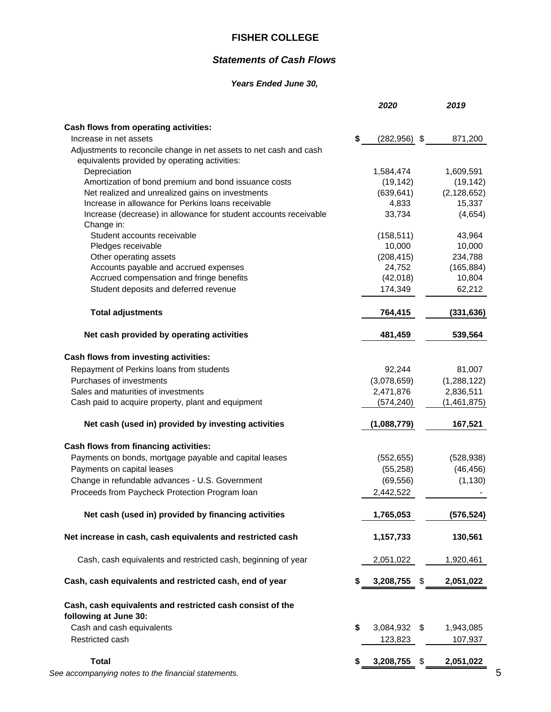## *Statements of Cash Flows*

## *Years Ended June 30,*

| Cash flows from operating activities:<br>Increase in net assets<br>\$<br>Adjustments to reconcile change in net assets to net cash and cash<br>equivalents provided by operating activities:<br>Depreciation<br>Amortization of bond premium and bond issuance costs<br>Net realized and unrealized gains on investments<br>Increase in allowance for Perkins loans receivable<br>Increase (decrease) in allowance for student accounts receivable<br>Change in:<br>Student accounts receivable<br>Pledges receivable<br>Other operating assets<br>Accounts payable and accrued expenses<br>Accrued compensation and fringe benefits<br>Student deposits and deferred revenue<br><b>Total adjustments</b><br>Net cash provided by operating activities<br>Cash flows from investing activities:<br>Repayment of Perkins loans from students<br>Purchases of investments<br>Sales and maturities of investments<br>Cash paid to acquire property, plant and equipment<br>Net cash (used in) provided by investing activities<br>Cash flows from financing activities:<br>Payments on bonds, mortgage payable and capital leases<br>Payments on capital leases<br>Change in refundable advances - U.S. Government<br>Proceeds from Paycheck Protection Program Ioan<br>Net cash (used in) provided by financing activities<br>Net increase in cash, cash equivalents and restricted cash<br>Cash, cash equivalents and restricted cash, beginning of year<br>Cash, cash equivalents and restricted cash, end of year<br>Cash, cash equivalents and restricted cash consist of the | 2020            | 2019          |
|---------------------------------------------------------------------------------------------------------------------------------------------------------------------------------------------------------------------------------------------------------------------------------------------------------------------------------------------------------------------------------------------------------------------------------------------------------------------------------------------------------------------------------------------------------------------------------------------------------------------------------------------------------------------------------------------------------------------------------------------------------------------------------------------------------------------------------------------------------------------------------------------------------------------------------------------------------------------------------------------------------------------------------------------------------------------------------------------------------------------------------------------------------------------------------------------------------------------------------------------------------------------------------------------------------------------------------------------------------------------------------------------------------------------------------------------------------------------------------------------------------------------------------------------------------------------------------|-----------------|---------------|
|                                                                                                                                                                                                                                                                                                                                                                                                                                                                                                                                                                                                                                                                                                                                                                                                                                                                                                                                                                                                                                                                                                                                                                                                                                                                                                                                                                                                                                                                                                                                                                                 |                 |               |
|                                                                                                                                                                                                                                                                                                                                                                                                                                                                                                                                                                                                                                                                                                                                                                                                                                                                                                                                                                                                                                                                                                                                                                                                                                                                                                                                                                                                                                                                                                                                                                                 | $(282,956)$ \$  | 871,200       |
|                                                                                                                                                                                                                                                                                                                                                                                                                                                                                                                                                                                                                                                                                                                                                                                                                                                                                                                                                                                                                                                                                                                                                                                                                                                                                                                                                                                                                                                                                                                                                                                 |                 |               |
|                                                                                                                                                                                                                                                                                                                                                                                                                                                                                                                                                                                                                                                                                                                                                                                                                                                                                                                                                                                                                                                                                                                                                                                                                                                                                                                                                                                                                                                                                                                                                                                 | 1,584,474       | 1,609,591     |
|                                                                                                                                                                                                                                                                                                                                                                                                                                                                                                                                                                                                                                                                                                                                                                                                                                                                                                                                                                                                                                                                                                                                                                                                                                                                                                                                                                                                                                                                                                                                                                                 | (19, 142)       | (19, 142)     |
|                                                                                                                                                                                                                                                                                                                                                                                                                                                                                                                                                                                                                                                                                                                                                                                                                                                                                                                                                                                                                                                                                                                                                                                                                                                                                                                                                                                                                                                                                                                                                                                 | (639, 641)      | (2, 128, 652) |
|                                                                                                                                                                                                                                                                                                                                                                                                                                                                                                                                                                                                                                                                                                                                                                                                                                                                                                                                                                                                                                                                                                                                                                                                                                                                                                                                                                                                                                                                                                                                                                                 | 4,833           | 15,337        |
|                                                                                                                                                                                                                                                                                                                                                                                                                                                                                                                                                                                                                                                                                                                                                                                                                                                                                                                                                                                                                                                                                                                                                                                                                                                                                                                                                                                                                                                                                                                                                                                 | 33,734          | (4,654)       |
|                                                                                                                                                                                                                                                                                                                                                                                                                                                                                                                                                                                                                                                                                                                                                                                                                                                                                                                                                                                                                                                                                                                                                                                                                                                                                                                                                                                                                                                                                                                                                                                 | (158, 511)      | 43,964        |
|                                                                                                                                                                                                                                                                                                                                                                                                                                                                                                                                                                                                                                                                                                                                                                                                                                                                                                                                                                                                                                                                                                                                                                                                                                                                                                                                                                                                                                                                                                                                                                                 | 10,000          | 10,000        |
|                                                                                                                                                                                                                                                                                                                                                                                                                                                                                                                                                                                                                                                                                                                                                                                                                                                                                                                                                                                                                                                                                                                                                                                                                                                                                                                                                                                                                                                                                                                                                                                 | (208, 415)      | 234,788       |
|                                                                                                                                                                                                                                                                                                                                                                                                                                                                                                                                                                                                                                                                                                                                                                                                                                                                                                                                                                                                                                                                                                                                                                                                                                                                                                                                                                                                                                                                                                                                                                                 |                 |               |
|                                                                                                                                                                                                                                                                                                                                                                                                                                                                                                                                                                                                                                                                                                                                                                                                                                                                                                                                                                                                                                                                                                                                                                                                                                                                                                                                                                                                                                                                                                                                                                                 | 24,752          | (165, 884)    |
|                                                                                                                                                                                                                                                                                                                                                                                                                                                                                                                                                                                                                                                                                                                                                                                                                                                                                                                                                                                                                                                                                                                                                                                                                                                                                                                                                                                                                                                                                                                                                                                 | (42,018)        | 10,804        |
|                                                                                                                                                                                                                                                                                                                                                                                                                                                                                                                                                                                                                                                                                                                                                                                                                                                                                                                                                                                                                                                                                                                                                                                                                                                                                                                                                                                                                                                                                                                                                                                 | 174,349         | 62,212        |
|                                                                                                                                                                                                                                                                                                                                                                                                                                                                                                                                                                                                                                                                                                                                                                                                                                                                                                                                                                                                                                                                                                                                                                                                                                                                                                                                                                                                                                                                                                                                                                                 | 764,415         | (331, 636)    |
|                                                                                                                                                                                                                                                                                                                                                                                                                                                                                                                                                                                                                                                                                                                                                                                                                                                                                                                                                                                                                                                                                                                                                                                                                                                                                                                                                                                                                                                                                                                                                                                 | 481,459         | 539,564       |
|                                                                                                                                                                                                                                                                                                                                                                                                                                                                                                                                                                                                                                                                                                                                                                                                                                                                                                                                                                                                                                                                                                                                                                                                                                                                                                                                                                                                                                                                                                                                                                                 |                 |               |
|                                                                                                                                                                                                                                                                                                                                                                                                                                                                                                                                                                                                                                                                                                                                                                                                                                                                                                                                                                                                                                                                                                                                                                                                                                                                                                                                                                                                                                                                                                                                                                                 | 92,244          | 81,007        |
|                                                                                                                                                                                                                                                                                                                                                                                                                                                                                                                                                                                                                                                                                                                                                                                                                                                                                                                                                                                                                                                                                                                                                                                                                                                                                                                                                                                                                                                                                                                                                                                 | (3,078,659)     | (1,288,122)   |
|                                                                                                                                                                                                                                                                                                                                                                                                                                                                                                                                                                                                                                                                                                                                                                                                                                                                                                                                                                                                                                                                                                                                                                                                                                                                                                                                                                                                                                                                                                                                                                                 | 2,471,876       | 2,836,511     |
|                                                                                                                                                                                                                                                                                                                                                                                                                                                                                                                                                                                                                                                                                                                                                                                                                                                                                                                                                                                                                                                                                                                                                                                                                                                                                                                                                                                                                                                                                                                                                                                 | (574, 240)      | (1,461,875)   |
|                                                                                                                                                                                                                                                                                                                                                                                                                                                                                                                                                                                                                                                                                                                                                                                                                                                                                                                                                                                                                                                                                                                                                                                                                                                                                                                                                                                                                                                                                                                                                                                 | (1,088,779)     | 167,521       |
|                                                                                                                                                                                                                                                                                                                                                                                                                                                                                                                                                                                                                                                                                                                                                                                                                                                                                                                                                                                                                                                                                                                                                                                                                                                                                                                                                                                                                                                                                                                                                                                 |                 |               |
|                                                                                                                                                                                                                                                                                                                                                                                                                                                                                                                                                                                                                                                                                                                                                                                                                                                                                                                                                                                                                                                                                                                                                                                                                                                                                                                                                                                                                                                                                                                                                                                 | (552, 655)      | (528, 938)    |
|                                                                                                                                                                                                                                                                                                                                                                                                                                                                                                                                                                                                                                                                                                                                                                                                                                                                                                                                                                                                                                                                                                                                                                                                                                                                                                                                                                                                                                                                                                                                                                                 | (55, 258)       | (46, 456)     |
|                                                                                                                                                                                                                                                                                                                                                                                                                                                                                                                                                                                                                                                                                                                                                                                                                                                                                                                                                                                                                                                                                                                                                                                                                                                                                                                                                                                                                                                                                                                                                                                 | (69, 556)       | (1, 130)      |
|                                                                                                                                                                                                                                                                                                                                                                                                                                                                                                                                                                                                                                                                                                                                                                                                                                                                                                                                                                                                                                                                                                                                                                                                                                                                                                                                                                                                                                                                                                                                                                                 | 2,442,522       |               |
|                                                                                                                                                                                                                                                                                                                                                                                                                                                                                                                                                                                                                                                                                                                                                                                                                                                                                                                                                                                                                                                                                                                                                                                                                                                                                                                                                                                                                                                                                                                                                                                 | 1,765,053       | (576,524)     |
|                                                                                                                                                                                                                                                                                                                                                                                                                                                                                                                                                                                                                                                                                                                                                                                                                                                                                                                                                                                                                                                                                                                                                                                                                                                                                                                                                                                                                                                                                                                                                                                 | 1,157,733       | 130,561       |
|                                                                                                                                                                                                                                                                                                                                                                                                                                                                                                                                                                                                                                                                                                                                                                                                                                                                                                                                                                                                                                                                                                                                                                                                                                                                                                                                                                                                                                                                                                                                                                                 | 2,051,022       | 1,920,461     |
|                                                                                                                                                                                                                                                                                                                                                                                                                                                                                                                                                                                                                                                                                                                                                                                                                                                                                                                                                                                                                                                                                                                                                                                                                                                                                                                                                                                                                                                                                                                                                                                 | 3,208,755<br>æ. | 2,051,022     |
| following at June 30:                                                                                                                                                                                                                                                                                                                                                                                                                                                                                                                                                                                                                                                                                                                                                                                                                                                                                                                                                                                                                                                                                                                                                                                                                                                                                                                                                                                                                                                                                                                                                           |                 |               |
| Cash and cash equivalents<br>\$                                                                                                                                                                                                                                                                                                                                                                                                                                                                                                                                                                                                                                                                                                                                                                                                                                                                                                                                                                                                                                                                                                                                                                                                                                                                                                                                                                                                                                                                                                                                                 | 3,084,932<br>S  | 1,943,085     |
| Restricted cash                                                                                                                                                                                                                                                                                                                                                                                                                                                                                                                                                                                                                                                                                                                                                                                                                                                                                                                                                                                                                                                                                                                                                                                                                                                                                                                                                                                                                                                                                                                                                                 | 123,823         | 107,937       |
| <b>Total</b><br>\$                                                                                                                                                                                                                                                                                                                                                                                                                                                                                                                                                                                                                                                                                                                                                                                                                                                                                                                                                                                                                                                                                                                                                                                                                                                                                                                                                                                                                                                                                                                                                              | 3,208,755<br>\$ | 2,051,022     |
| See accompanying notes to the financial statements.                                                                                                                                                                                                                                                                                                                                                                                                                                                                                                                                                                                                                                                                                                                                                                                                                                                                                                                                                                                                                                                                                                                                                                                                                                                                                                                                                                                                                                                                                                                             |                 |               |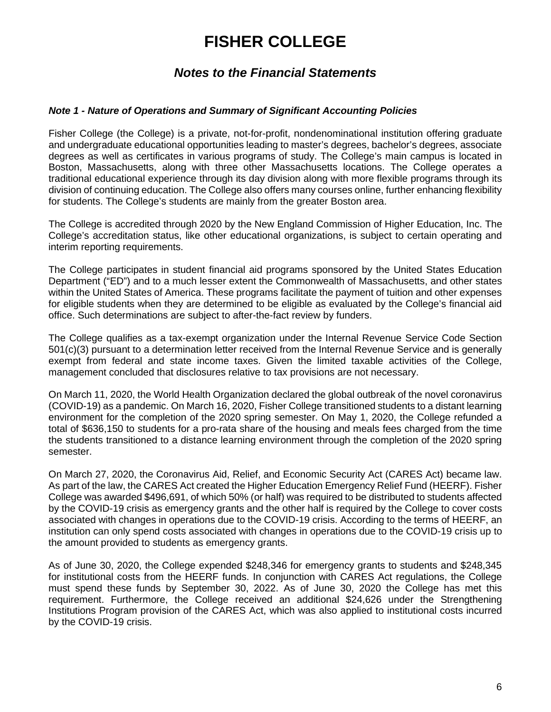## *Notes to the Financial Statements*

#### *Note 1 - Nature of Operations and Summary of Significant Accounting Policies*

Fisher College (the College) is a private, not-for-profit, nondenominational institution offering graduate and undergraduate educational opportunities leading to master's degrees, bachelor's degrees, associate degrees as well as certificates in various programs of study. The College's main campus is located in Boston, Massachusetts, along with three other Massachusetts locations. The College operates a traditional educational experience through its day division along with more flexible programs through its division of continuing education. The College also offers many courses online, further enhancing flexibility for students. The College's students are mainly from the greater Boston area.

The College is accredited through 2020 by the New England Commission of Higher Education, Inc. The College's accreditation status, like other educational organizations, is subject to certain operating and interim reporting requirements.

The College participates in student financial aid programs sponsored by the United States Education Department ("ED") and to a much lesser extent the Commonwealth of Massachusetts, and other states within the United States of America. These programs facilitate the payment of tuition and other expenses for eligible students when they are determined to be eligible as evaluated by the College's financial aid office. Such determinations are subject to after-the-fact review by funders.

The College qualifies as a tax-exempt organization under the Internal Revenue Service Code Section 501(c)(3) pursuant to a determination letter received from the Internal Revenue Service and is generally exempt from federal and state income taxes. Given the limited taxable activities of the College, management concluded that disclosures relative to tax provisions are not necessary.

On March 11, 2020, the World Health Organization declared the global outbreak of the novel coronavirus (COVID-19) as a pandemic. On March 16, 2020, Fisher College transitioned students to a distant learning environment for the completion of the 2020 spring semester. On May 1, 2020, the College refunded a total of \$636,150 to students for a pro-rata share of the housing and meals fees charged from the time the students transitioned to a distance learning environment through the completion of the 2020 spring semester.

On March 27, 2020, the Coronavirus Aid, Relief, and Economic Security Act (CARES Act) became law. As part of the law, the CARES Act created the Higher Education Emergency Relief Fund (HEERF). Fisher College was awarded \$496,691, of which 50% (or half) was required to be distributed to students affected by the COVID-19 crisis as emergency grants and the other half is required by the College to cover costs associated with changes in operations due to the COVID-19 crisis. According to the terms of HEERF, an institution can only spend costs associated with changes in operations due to the COVID-19 crisis up to the amount provided to students as emergency grants.

As of June 30, 2020, the College expended \$248,346 for emergency grants to students and \$248,345 for institutional costs from the HEERF funds. In conjunction with CARES Act regulations, the College must spend these funds by September 30, 2022. As of June 30, 2020 the College has met this requirement. Furthermore, the College received an additional \$24,626 under the Strengthening Institutions Program provision of the CARES Act, which was also applied to institutional costs incurred by the COVID-19 crisis.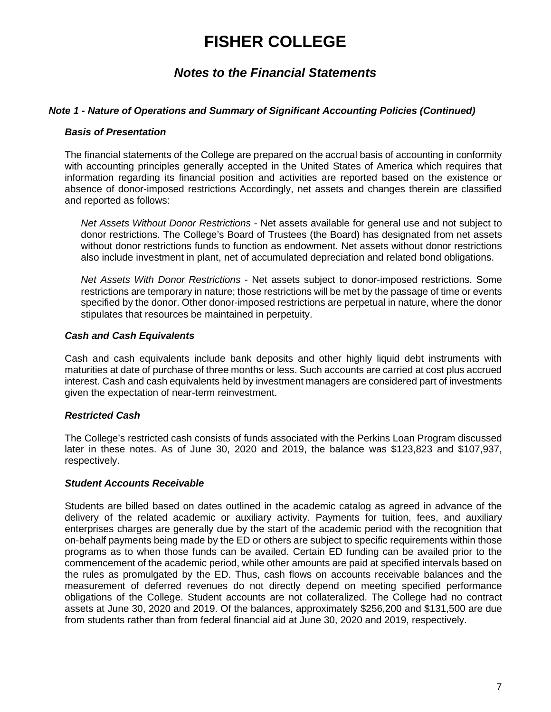## *Notes to the Financial Statements*

### *Note 1 - Nature of Operations and Summary of Significant Accounting Policies (Continued)*

#### *Basis of Presentation*

The financial statements of the College are prepared on the accrual basis of accounting in conformity with accounting principles generally accepted in the United States of America which requires that information regarding its financial position and activities are reported based on the existence or absence of donor-imposed restrictions Accordingly, net assets and changes therein are classified and reported as follows:

*Net Assets Without Donor Restrictions* - Net assets available for general use and not subject to donor restrictions. The College's Board of Trustees (the Board) has designated from net assets without donor restrictions funds to function as endowment. Net assets without donor restrictions also include investment in plant, net of accumulated depreciation and related bond obligations.

*Net Assets With Donor Restrictions* - Net assets subject to donor-imposed restrictions. Some restrictions are temporary in nature; those restrictions will be met by the passage of time or events specified by the donor. Other donor-imposed restrictions are perpetual in nature, where the donor stipulates that resources be maintained in perpetuity.

#### *Cash and Cash Equivalents*

Cash and cash equivalents include bank deposits and other highly liquid debt instruments with maturities at date of purchase of three months or less. Such accounts are carried at cost plus accrued interest. Cash and cash equivalents held by investment managers are considered part of investments given the expectation of near-term reinvestment.

## *Restricted Cash*

The College's restricted cash consists of funds associated with the Perkins Loan Program discussed later in these notes. As of June 30, 2020 and 2019, the balance was \$123,823 and \$107,937, respectively.

#### *Student Accounts Receivable*

Students are billed based on dates outlined in the academic catalog as agreed in advance of the delivery of the related academic or auxiliary activity. Payments for tuition, fees, and auxiliary enterprises charges are generally due by the start of the academic period with the recognition that on-behalf payments being made by the ED or others are subject to specific requirements within those programs as to when those funds can be availed. Certain ED funding can be availed prior to the commencement of the academic period, while other amounts are paid at specified intervals based on the rules as promulgated by the ED. Thus, cash flows on accounts receivable balances and the measurement of deferred revenues do not directly depend on meeting specified performance obligations of the College. Student accounts are not collateralized. The College had no contract assets at June 30, 2020 and 2019. Of the balances, approximately \$256,200 and \$131,500 are due from students rather than from federal financial aid at June 30, 2020 and 2019, respectively.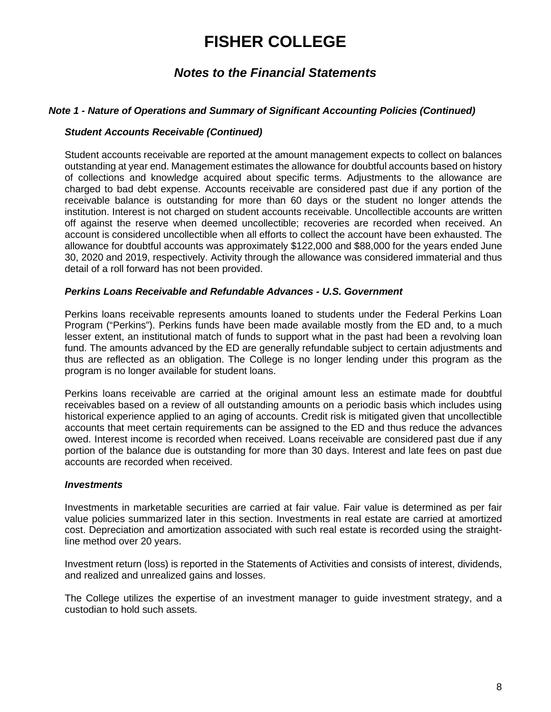# *Notes to the Financial Statements*

### *Note 1 - Nature of Operations and Summary of Significant Accounting Policies (Continued)*

#### *Student Accounts Receivable (Continued)*

Student accounts receivable are reported at the amount management expects to collect on balances outstanding at year end. Management estimates the allowance for doubtful accounts based on history of collections and knowledge acquired about specific terms. Adjustments to the allowance are charged to bad debt expense. Accounts receivable are considered past due if any portion of the receivable balance is outstanding for more than 60 days or the student no longer attends the institution. Interest is not charged on student accounts receivable. Uncollectible accounts are written off against the reserve when deemed uncollectible; recoveries are recorded when received. An account is considered uncollectible when all efforts to collect the account have been exhausted. The allowance for doubtful accounts was approximately \$122,000 and \$88,000 for the years ended June 30, 2020 and 2019, respectively. Activity through the allowance was considered immaterial and thus detail of a roll forward has not been provided.

#### *Perkins Loans Receivable and Refundable Advances - U.S. Government*

Perkins loans receivable represents amounts loaned to students under the Federal Perkins Loan Program ("Perkins"). Perkins funds have been made available mostly from the ED and, to a much lesser extent, an institutional match of funds to support what in the past had been a revolving loan fund. The amounts advanced by the ED are generally refundable subject to certain adjustments and thus are reflected as an obligation. The College is no longer lending under this program as the program is no longer available for student loans.

Perkins loans receivable are carried at the original amount less an estimate made for doubtful receivables based on a review of all outstanding amounts on a periodic basis which includes using historical experience applied to an aging of accounts. Credit risk is mitigated given that uncollectible accounts that meet certain requirements can be assigned to the ED and thus reduce the advances owed. Interest income is recorded when received. Loans receivable are considered past due if any portion of the balance due is outstanding for more than 30 days. Interest and late fees on past due accounts are recorded when received.

#### *Investments*

Investments in marketable securities are carried at fair value. Fair value is determined as per fair value policies summarized later in this section. Investments in real estate are carried at amortized cost. Depreciation and amortization associated with such real estate is recorded using the straightline method over 20 years.

Investment return (loss) is reported in the Statements of Activities and consists of interest, dividends, and realized and unrealized gains and losses.

The College utilizes the expertise of an investment manager to guide investment strategy, and a custodian to hold such assets.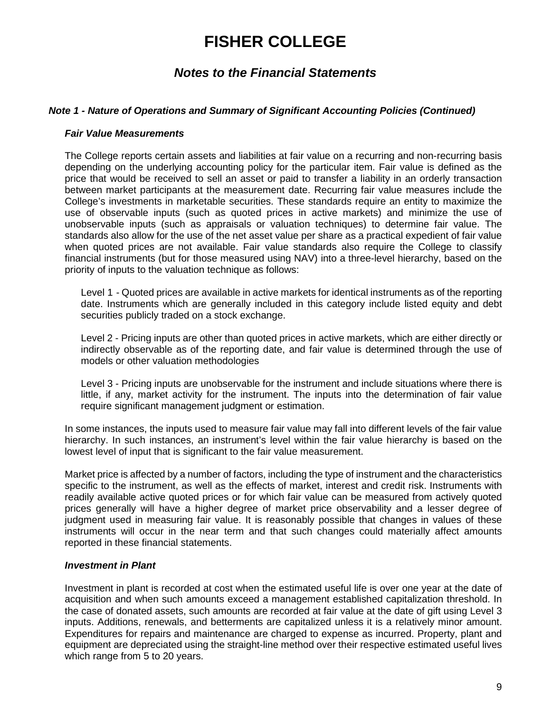## *Notes to the Financial Statements*

### *Note 1 - Nature of Operations and Summary of Significant Accounting Policies (Continued)*

#### *Fair Value Measurements*

The College reports certain assets and liabilities at fair value on a recurring and non-recurring basis depending on the underlying accounting policy for the particular item. Fair value is defined as the price that would be received to sell an asset or paid to transfer a liability in an orderly transaction between market participants at the measurement date. Recurring fair value measures include the College's investments in marketable securities. These standards require an entity to maximize the use of observable inputs (such as quoted prices in active markets) and minimize the use of unobservable inputs (such as appraisals or valuation techniques) to determine fair value. The standards also allow for the use of the net asset value per share as a practical expedient of fair value when quoted prices are not available. Fair value standards also require the College to classify financial instruments (but for those measured using NAV) into a three-level hierarchy, based on the priority of inputs to the valuation technique as follows:

Level 1 - Quoted prices are available in active markets for identical instruments as of the reporting date. Instruments which are generally included in this category include listed equity and debt securities publicly traded on a stock exchange.

Level 2 - Pricing inputs are other than quoted prices in active markets, which are either directly or indirectly observable as of the reporting date, and fair value is determined through the use of models or other valuation methodologies

Level 3 - Pricing inputs are unobservable for the instrument and include situations where there is little, if any, market activity for the instrument. The inputs into the determination of fair value require significant management judgment or estimation.

In some instances, the inputs used to measure fair value may fall into different levels of the fair value hierarchy. In such instances, an instrument's level within the fair value hierarchy is based on the lowest level of input that is significant to the fair value measurement.

Market price is affected by a number of factors, including the type of instrument and the characteristics specific to the instrument, as well as the effects of market, interest and credit risk. Instruments with readily available active quoted prices or for which fair value can be measured from actively quoted prices generally will have a higher degree of market price observability and a lesser degree of judgment used in measuring fair value. It is reasonably possible that changes in values of these instruments will occur in the near term and that such changes could materially affect amounts reported in these financial statements.

#### *Investment in Plant*

Investment in plant is recorded at cost when the estimated useful life is over one year at the date of acquisition and when such amounts exceed a management established capitalization threshold. In the case of donated assets, such amounts are recorded at fair value at the date of gift using Level 3 inputs. Additions, renewals, and betterments are capitalized unless it is a relatively minor amount. Expenditures for repairs and maintenance are charged to expense as incurred. Property, plant and equipment are depreciated using the straight-line method over their respective estimated useful lives which range from 5 to 20 years.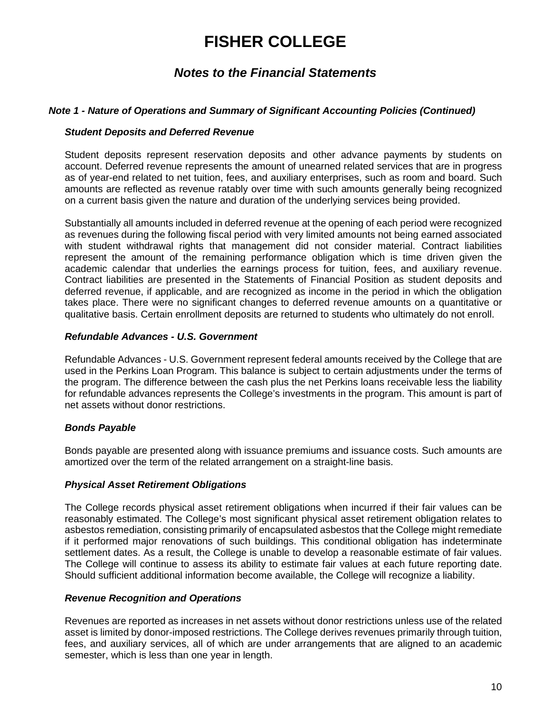# *Notes to the Financial Statements*

### *Note 1 - Nature of Operations and Summary of Significant Accounting Policies (Continued)*

#### *Student Deposits and Deferred Revenue*

Student deposits represent reservation deposits and other advance payments by students on account. Deferred revenue represents the amount of unearned related services that are in progress as of year-end related to net tuition, fees, and auxiliary enterprises, such as room and board. Such amounts are reflected as revenue ratably over time with such amounts generally being recognized on a current basis given the nature and duration of the underlying services being provided.

Substantially all amounts included in deferred revenue at the opening of each period were recognized as revenues during the following fiscal period with very limited amounts not being earned associated with student withdrawal rights that management did not consider material. Contract liabilities represent the amount of the remaining performance obligation which is time driven given the academic calendar that underlies the earnings process for tuition, fees, and auxiliary revenue. Contract liabilities are presented in the Statements of Financial Position as student deposits and deferred revenue, if applicable, and are recognized as income in the period in which the obligation takes place. There were no significant changes to deferred revenue amounts on a quantitative or qualitative basis. Certain enrollment deposits are returned to students who ultimately do not enroll.

#### *Refundable Advances - U.S. Government*

Refundable Advances - U.S. Government represent federal amounts received by the College that are used in the Perkins Loan Program. This balance is subject to certain adjustments under the terms of the program. The difference between the cash plus the net Perkins loans receivable less the liability for refundable advances represents the College's investments in the program. This amount is part of net assets without donor restrictions.

#### *Bonds Payable*

Bonds payable are presented along with issuance premiums and issuance costs. Such amounts are amortized over the term of the related arrangement on a straight-line basis.

#### *Physical Asset Retirement Obligations*

The College records physical asset retirement obligations when incurred if their fair values can be reasonably estimated. The College's most significant physical asset retirement obligation relates to asbestos remediation, consisting primarily of encapsulated asbestos that the College might remediate if it performed major renovations of such buildings. This conditional obligation has indeterminate settlement dates. As a result, the College is unable to develop a reasonable estimate of fair values. The College will continue to assess its ability to estimate fair values at each future reporting date. Should sufficient additional information become available, the College will recognize a liability.

#### *Revenue Recognition and Operations*

Revenues are reported as increases in net assets without donor restrictions unless use of the related asset is limited by donor-imposed restrictions. The College derives revenues primarily through tuition, fees, and auxiliary services, all of which are under arrangements that are aligned to an academic semester, which is less than one year in length.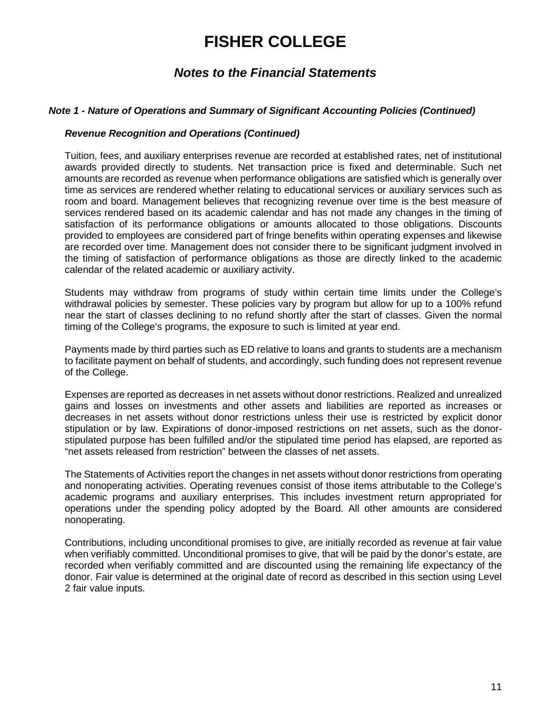## *Notes to the Financial Statements*

### *Note 1 - Nature of Operations and Summary of Significant Accounting Policies (Continued)*

#### *Revenue Recognition and Operations (Continued)*

Tuition, fees, and auxiliary enterprises revenue are recorded at established rates, net of institutional awards provided directly to students. Net transaction price is fixed and determinable. Such net amounts are recorded as revenue when performance obligations are satisfied which is generally over time as services are rendered whether relating to educational services or auxiliary services such as room and board. Management believes that recognizing revenue over time is the best measure of services rendered based on its academic calendar and has not made any changes in the timing of satisfaction of its performance obligations or amounts allocated to those obligations. Discounts provided to employees are considered part of fringe benefits within operating expenses and likewise are recorded over time. Management does not consider there to be significant judgment involved in the timing of satisfaction of performance obligations as those are directly linked to the academic calendar of the related academic or auxiliary activity.

Students may withdraw from programs of study within certain time limits under the College's withdrawal policies by semester. These policies vary by program but allow for up to a 100% refund near the start of classes declining to no refund shortly after the start of classes. Given the normal timing of the College's programs, the exposure to such is limited at year end.

Payments made by third parties such as ED relative to loans and grants to students are a mechanism to facilitate payment on behalf of students, and accordingly, such funding does not represent revenue of the College.

Expenses are reported as decreases in net assets without donor restrictions. Realized and unrealized gains and losses on investments and other assets and liabilities are reported as increases or decreases in net assets without donor restrictions unless their use is restricted by explicit donor stipulation or by law. Expirations of donor-imposed restrictions on net assets, such as the donorstipulated purpose has been fulfilled and/or the stipulated time period has elapsed, are reported as "net assets released from restriction" between the classes of net assets.

The Statements of Activities report the changes in net assets without donor restrictions from operating and nonoperating activities. Operating revenues consist of those items attributable to the College's academic programs and auxiliary enterprises. This includes investment return appropriated for operations under the spending policy adopted by the Board. All other amounts are considered nonoperating.

Contributions, including unconditional promises to give, are initially recorded as revenue at fair value when verifiably committed. Unconditional promises to give, that will be paid by the donor's estate, are recorded when verifiably committed and are discounted using the remaining life expectancy of the donor. Fair value is determined at the original date of record as described in this section using Level 2 fair value inputs.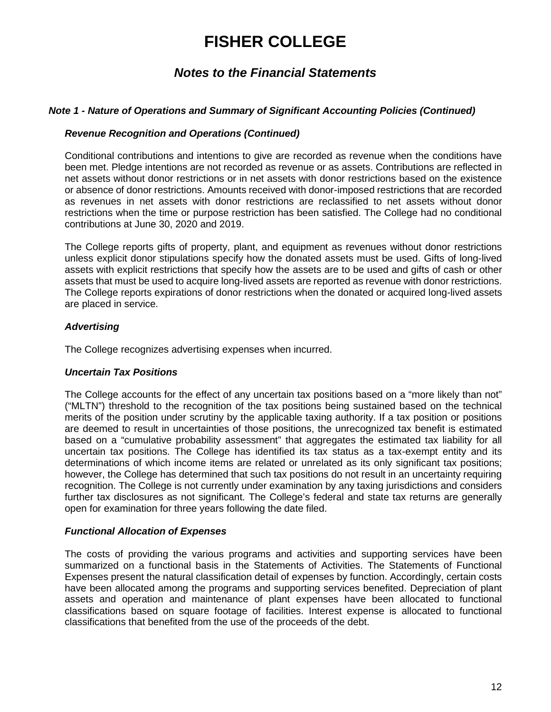# *Notes to the Financial Statements*

### *Note 1 - Nature of Operations and Summary of Significant Accounting Policies (Continued)*

#### *Revenue Recognition and Operations (Continued)*

Conditional contributions and intentions to give are recorded as revenue when the conditions have been met. Pledge intentions are not recorded as revenue or as assets. Contributions are reflected in net assets without donor restrictions or in net assets with donor restrictions based on the existence or absence of donor restrictions. Amounts received with donor-imposed restrictions that are recorded as revenues in net assets with donor restrictions are reclassified to net assets without donor restrictions when the time or purpose restriction has been satisfied. The College had no conditional contributions at June 30, 2020 and 2019.

The College reports gifts of property, plant, and equipment as revenues without donor restrictions unless explicit donor stipulations specify how the donated assets must be used. Gifts of long-lived assets with explicit restrictions that specify how the assets are to be used and gifts of cash or other assets that must be used to acquire long-lived assets are reported as revenue with donor restrictions. The College reports expirations of donor restrictions when the donated or acquired long-lived assets are placed in service.

#### *Advertising*

The College recognizes advertising expenses when incurred.

#### *Uncertain Tax Positions*

The College accounts for the effect of any uncertain tax positions based on a "more likely than not" ("MLTN") threshold to the recognition of the tax positions being sustained based on the technical merits of the position under scrutiny by the applicable taxing authority. If a tax position or positions are deemed to result in uncertainties of those positions, the unrecognized tax benefit is estimated based on a "cumulative probability assessment" that aggregates the estimated tax liability for all uncertain tax positions. The College has identified its tax status as a tax-exempt entity and its determinations of which income items are related or unrelated as its only significant tax positions; however, the College has determined that such tax positions do not result in an uncertainty requiring recognition. The College is not currently under examination by any taxing jurisdictions and considers further tax disclosures as not significant. The College's federal and state tax returns are generally open for examination for three years following the date filed.

#### *Functional Allocation of Expenses*

The costs of providing the various programs and activities and supporting services have been summarized on a functional basis in the Statements of Activities. The Statements of Functional Expenses present the natural classification detail of expenses by function. Accordingly, certain costs have been allocated among the programs and supporting services benefited. Depreciation of plant assets and operation and maintenance of plant expenses have been allocated to functional classifications based on square footage of facilities. Interest expense is allocated to functional classifications that benefited from the use of the proceeds of the debt.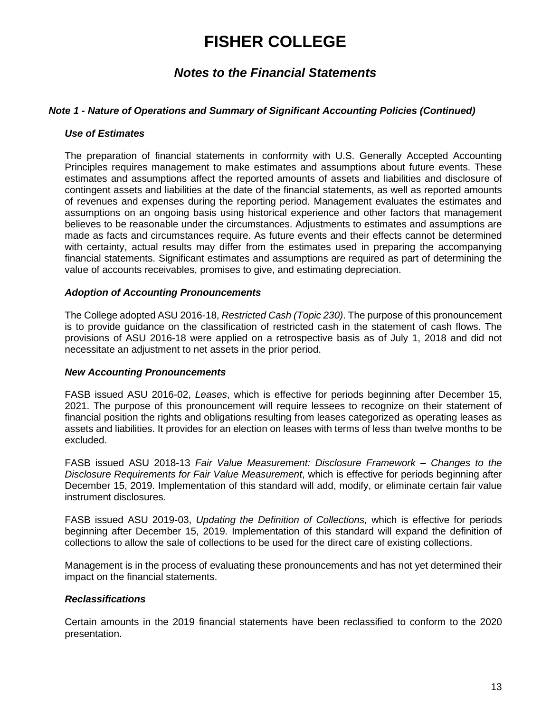## *Notes to the Financial Statements*

### *Note 1 - Nature of Operations and Summary of Significant Accounting Policies (Continued)*

#### *Use of Estimates*

The preparation of financial statements in conformity with U.S. Generally Accepted Accounting Principles requires management to make estimates and assumptions about future events. These estimates and assumptions affect the reported amounts of assets and liabilities and disclosure of contingent assets and liabilities at the date of the financial statements, as well as reported amounts of revenues and expenses during the reporting period. Management evaluates the estimates and assumptions on an ongoing basis using historical experience and other factors that management believes to be reasonable under the circumstances. Adjustments to estimates and assumptions are made as facts and circumstances require. As future events and their effects cannot be determined with certainty, actual results may differ from the estimates used in preparing the accompanying financial statements. Significant estimates and assumptions are required as part of determining the value of accounts receivables, promises to give, and estimating depreciation.

#### *Adoption of Accounting Pronouncements*

The College adopted ASU 2016-18, *Restricted Cash (Topic 230)*. The purpose of this pronouncement is to provide guidance on the classification of restricted cash in the statement of cash flows. The provisions of ASU 2016-18 were applied on a retrospective basis as of July 1, 2018 and did not necessitate an adjustment to net assets in the prior period.

#### *New Accounting Pronouncements*

FASB issued ASU 2016-02, *Leases*, which is effective for periods beginning after December 15, 2021. The purpose of this pronouncement will require lessees to recognize on their statement of financial position the rights and obligations resulting from leases categorized as operating leases as assets and liabilities. It provides for an election on leases with terms of less than twelve months to be excluded.

FASB issued ASU 2018-13 *Fair Value Measurement: Disclosure Framework – Changes to the Disclosure Requirements for Fair Value Measurement*, which is effective for periods beginning after December 15, 2019. Implementation of this standard will add, modify, or eliminate certain fair value instrument disclosures.

FASB issued ASU 2019-03, *Updating the Definition of Collections,* which is effective for periods beginning after December 15, 2019. Implementation of this standard will expand the definition of collections to allow the sale of collections to be used for the direct care of existing collections.

Management is in the process of evaluating these pronouncements and has not yet determined their impact on the financial statements.

#### *Reclassifications*

Certain amounts in the 2019 financial statements have been reclassified to conform to the 2020 presentation.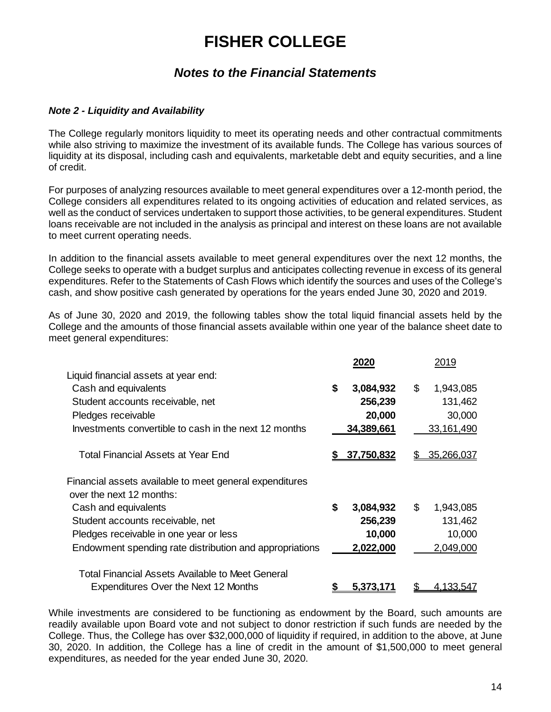## *Notes to the Financial Statements*

#### *Note 2 - Liquidity and Availability*

The College regularly monitors liquidity to meet its operating needs and other contractual commitments while also striving to maximize the investment of its available funds. The College has various sources of liquidity at its disposal, including cash and equivalents, marketable debt and equity securities, and a line of credit.

For purposes of analyzing resources available to meet general expenditures over a 12-month period, the College considers all expenditures related to its ongoing activities of education and related services, as well as the conduct of services undertaken to support those activities, to be general expenditures. Student loans receivable are not included in the analysis as principal and interest on these loans are not available to meet current operating needs.

In addition to the financial assets available to meet general expenditures over the next 12 months, the College seeks to operate with a budget surplus and anticipates collecting revenue in excess of its general expenditures. Refer to the Statements of Cash Flows which identify the sources and uses of the College's cash, and show positive cash generated by operations for the years ended June 30, 2020 and 2019.

As of June 30, 2020 and 2019, the following tables show the total liquid financial assets held by the College and the amounts of those financial assets available within one year of the balance sheet date to meet general expenditures:

|                                                         |    | 2020       | 2019                   |
|---------------------------------------------------------|----|------------|------------------------|
| Liquid financial assets at year end:                    |    |            |                        |
| Cash and equivalents                                    | \$ | 3,084,932  | \$<br>1,943,085        |
| Student accounts receivable, net                        |    | 256,239    | 131,462                |
| Pledges receivable                                      |    | 20,000     | 30,000                 |
| Investments convertible to cash in the next 12 months   |    | 34,389,661 | 33,161,490             |
| Total Financial Assets at Year End                      | S. | 37,750,832 | \$ 35.266.037          |
| Financial assets available to meet general expenditures |    |            |                        |
| over the next 12 months:                                |    |            |                        |
| Cash and equivalents                                    | \$ | 3,084,932  | \$<br>1,943,085        |
| Student accounts receivable, net                        |    | 256,239    | 131,462                |
| Pledges receivable in one year or less                  |    | 10,000     | 10,000                 |
| Endowment spending rate distribution and appropriations |    | 2,022,000  | 2,049,000              |
| Total Financial Assets Available to Meet General        |    |            |                        |
| <b>Expenditures Over the Next 12 Months</b>             | \$ | 5,373,171  | \$<br><u>4.133.547</u> |

While investments are considered to be functioning as endowment by the Board, such amounts are readily available upon Board vote and not subject to donor restriction if such funds are needed by the College. Thus, the College has over \$32,000,000 of liquidity if required, in addition to the above, at June 30, 2020. In addition, the College has a line of credit in the amount of \$1,500,000 to meet general expenditures, as needed for the year ended June 30, 2020.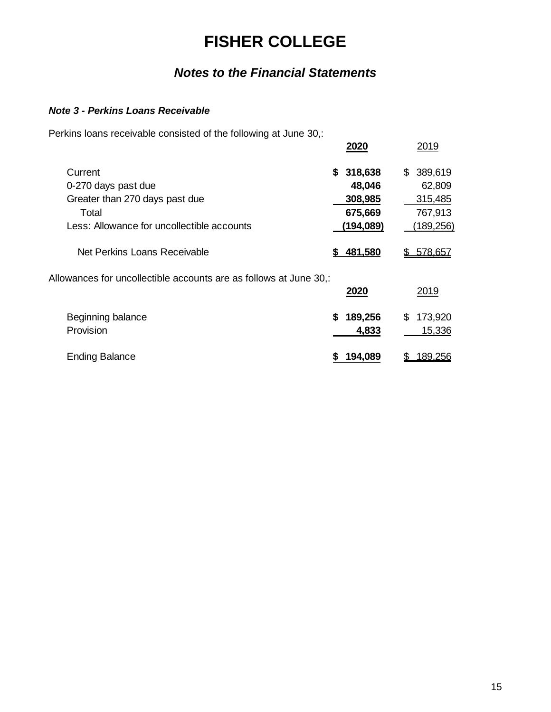# *Notes to the Financial Statements*

## *Note 3 - Perkins Loans Receivable*

Perkins loans receivable consisted of the following at June 30,:

|                                                                   | 2020          | 2019          |
|-------------------------------------------------------------------|---------------|---------------|
| Current                                                           | 318,638<br>\$ | \$ 389,619    |
| 0-270 days past due                                               | 48,046        | 62,809        |
| Greater than 270 days past due                                    | 308,985       | 315,485       |
| Total                                                             | 675,669       | 767,913       |
| Less: Allowance for uncollectible accounts                        | (194,089)     | (189, 256)    |
| Net Perkins Loans Receivable                                      | 481,580<br>S. | 578.657       |
| Allowances for uncollectible accounts are as follows at June 30,: |               |               |
|                                                                   | 2020          | 2019          |
| Beginning balance                                                 | 189,256<br>S  | 173,920<br>\$ |
| Provision                                                         | 4,833         | 15,336        |
| <b>Ending Balance</b>                                             | 194,089       | 89.256        |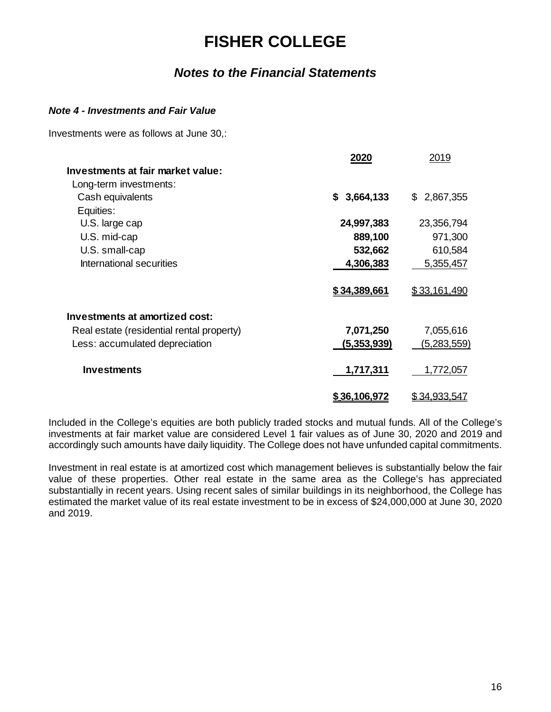## *Notes to the Financial Statements*

### *Note 4 - Investments and Fair Value*

Investments were as follows at June 30,:

|                                           | 2020         | 2019                |
|-------------------------------------------|--------------|---------------------|
| Investments at fair market value:         |              |                     |
| Long-term investments:                    |              |                     |
| Cash equivalents                          | \$3,664,133  | \$2,867,355         |
| Equities:                                 |              |                     |
| U.S. large cap                            | 24,997,383   | 23,356,794          |
| U.S. mid-cap                              | 889,100      | 971,300             |
| U.S. small-cap                            | 532,662      | 610,584             |
| International securities                  | 4,306,383    | 5,355,457           |
|                                           | \$34,389,661 | \$33,161,490        |
| Investments at amortized cost:            |              |                     |
| Real estate (residential rental property) | 7,071,250    | 7,055,616           |
| Less: accumulated depreciation            | (5,353,939)  | (5,283,559)         |
| <b>Investments</b>                        | 1,717,311    | 1,772,057           |
|                                           | \$36,106,972 | <u>\$34.933.547</u> |

Included in the College's equities are both publicly traded stocks and mutual funds. All of the College's investments at fair market value are considered Level 1 fair values as of June 30, 2020 and 2019 and accordingly such amounts have daily liquidity. The College does not have unfunded capital commitments.

Investment in real estate is at amortized cost which management believes is substantially below the fair value of these properties. Other real estate in the same area as the College's has appreciated substantially in recent years. Using recent sales of similar buildings in its neighborhood, the College has estimated the market value of its real estate investment to be in excess of \$24,000,000 at June 30, 2020 and 2019.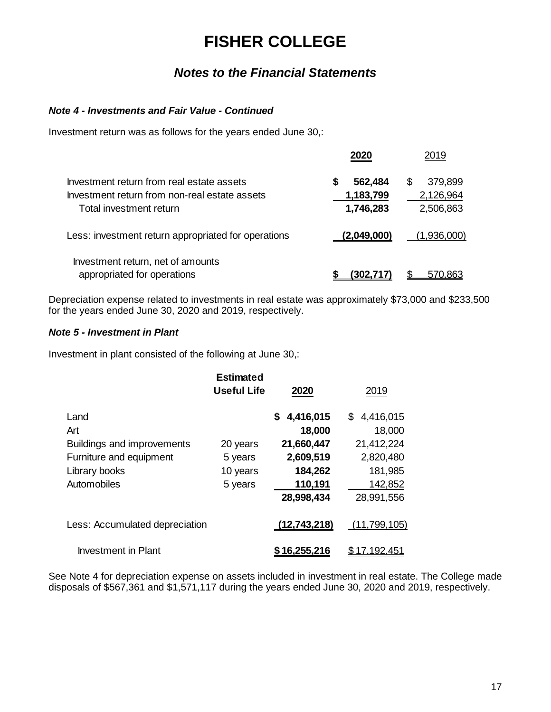# *Notes to the Financial Statements*

### *Note 4 - Investments and Fair Value - Continued*

Investment return was as follows for the years ended June 30,:

|                                                                                                                       | 2020                                    | 2019                                    |
|-----------------------------------------------------------------------------------------------------------------------|-----------------------------------------|-----------------------------------------|
| Investment return from real estate assets<br>Investment return from non-real estate assets<br>Total investment return | 562,484<br>\$<br>1,183,799<br>1,746,283 | \$<br>379,899<br>2,126,964<br>2,506,863 |
| Less: investment return appropriated for operations                                                                   | (2,049,000)                             | (1,936,000)                             |
| Investment return, net of amounts<br>appropriated for operations                                                      | (302.71                                 | 0.863                                   |

Depreciation expense related to investments in real estate was approximately \$73,000 and \$233,500 for the years ended June 30, 2020 and 2019, respectively.

#### *Note 5 - Investment in Plant*

Investment in plant consisted of the following at June 30,:

|                                | <b>Estimated</b><br><b>Useful Life</b> | 2020           | 2019            |
|--------------------------------|----------------------------------------|----------------|-----------------|
| Land                           |                                        | 4,416,015<br>S | 4,416,015<br>\$ |
| Art                            |                                        | 18,000         | 18,000          |
| Buildings and improvements     | 20 years                               | 21,660,447     | 21,412,224      |
| Furniture and equipment        | 5 years                                | 2,609,519      | 2,820,480       |
| Library books                  | 10 years                               | 184,262        | 181,985         |
| Automobiles                    | 5 years                                | 110,191        | 142,852         |
|                                |                                        | 28,998,434     | 28,991,556      |
| Less: Accumulated depreciation |                                        | (12,743,218)   | (11, 799, 105)  |
| Investment in Plant            |                                        | \$16,255,216   | 192.451         |

See Note 4 for depreciation expense on assets included in investment in real estate. The College made disposals of \$567,361 and \$1,571,117 during the years ended June 30, 2020 and 2019, respectively.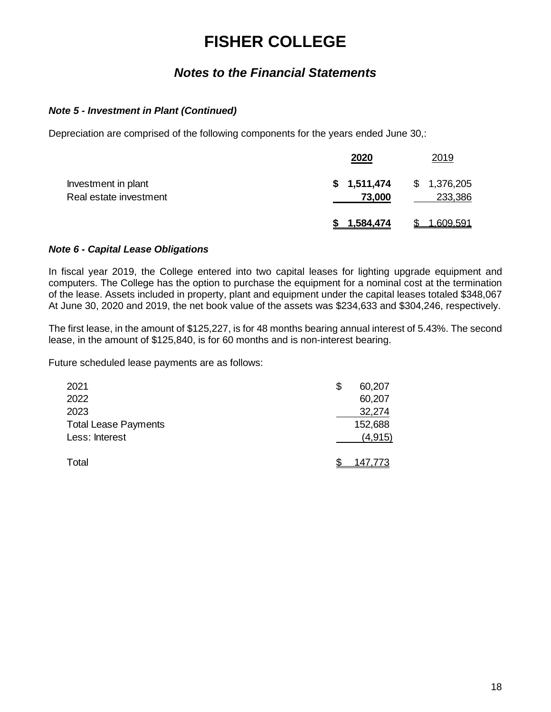## *Notes to the Financial Statements*

#### *Note 5 - Investment in Plant (Continued)*

Depreciation are comprised of the following components for the years ended June 30,:

|                                               | 2020                  | 2019                   |
|-----------------------------------------------|-----------------------|------------------------|
| Investment in plant<br>Real estate investment | \$1,511,474<br>73,000 | \$1,376,205<br>233,386 |
|                                               | 1,584,474             | <u>1.609.591</u>       |

#### *Note 6 - Capital Lease Obligations*

In fiscal year 2019, the College entered into two capital leases for lighting upgrade equipment and computers. The College has the option to purchase the equipment for a nominal cost at the termination of the lease. Assets included in property, plant and equipment under the capital leases totaled \$348,067 At June 30, 2020 and 2019, the net book value of the assets was \$234,633 and \$304,246, respectively.

The first lease, in the amount of \$125,227, is for 48 months bearing annual interest of 5.43%. The second lease, in the amount of \$125,840, is for 60 months and is non-interest bearing.

Future scheduled lease payments are as follows:

| 2021                        | \$<br>60,207 |
|-----------------------------|--------------|
| 2022                        | 60,207       |
| 2023                        | 32,274       |
| <b>Total Lease Payments</b> | 152,688      |
| Less: Interest              | (4, 915)     |
| Total                       |              |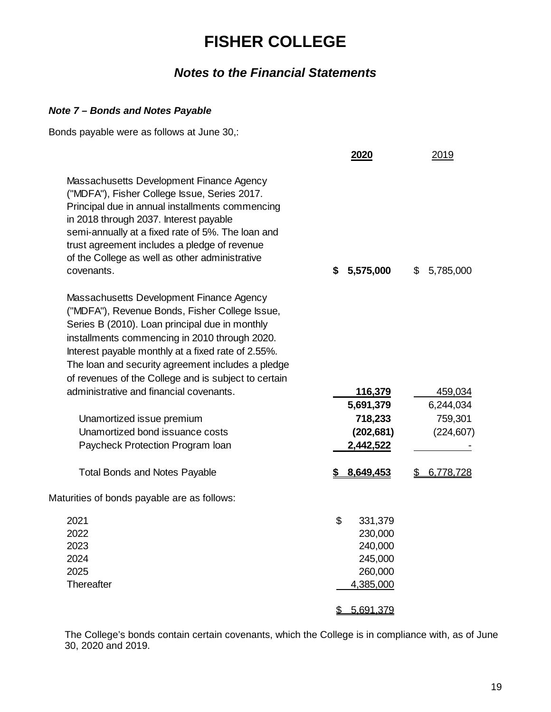# *Notes to the Financial Statements*

## *Note 7 – Bonds and Notes Payable*

Bonds payable were as follows at June 30,:

|                                                                                                                                                                                                                                                                                                                                                                  | 2020                                                                   | 2019                 |
|------------------------------------------------------------------------------------------------------------------------------------------------------------------------------------------------------------------------------------------------------------------------------------------------------------------------------------------------------------------|------------------------------------------------------------------------|----------------------|
| Massachusetts Development Finance Agency<br>("MDFA"), Fisher College Issue, Series 2017.<br>Principal due in annual installments commencing<br>in 2018 through 2037. Interest payable<br>semi-annually at a fixed rate of 5%. The loan and<br>trust agreement includes a pledge of revenue<br>of the College as well as other administrative<br>covenants.       | 5,575,000<br>S                                                         | 5,785,000<br>\$      |
| Massachusetts Development Finance Agency<br>("MDFA"), Revenue Bonds, Fisher College Issue,<br>Series B (2010). Loan principal due in monthly<br>installments commencing in 2010 through 2020.<br>Interest payable monthly at a fixed rate of 2.55%.<br>The loan and security agreement includes a pledge<br>of revenues of the College and is subject to certain |                                                                        |                      |
| administrative and financial covenants.                                                                                                                                                                                                                                                                                                                          | 116,379<br>5,691,379                                                   | 459,034<br>6,244,034 |
| Unamortized issue premium                                                                                                                                                                                                                                                                                                                                        | 718,233                                                                | 759,301              |
| Unamortized bond issuance costs                                                                                                                                                                                                                                                                                                                                  | (202, 681)                                                             | (224, 607)           |
| Paycheck Protection Program Ioan                                                                                                                                                                                                                                                                                                                                 | 2,442,522                                                              |                      |
| <b>Total Bonds and Notes Payable</b>                                                                                                                                                                                                                                                                                                                             | 8,649,453                                                              | 6,778,728            |
| Maturities of bonds payable are as follows:                                                                                                                                                                                                                                                                                                                      |                                                                        |                      |
| 2021<br>2022<br>2023<br>2024<br>2025<br>Thereafter                                                                                                                                                                                                                                                                                                               | \$<br>331,379<br>230,000<br>240,000<br>245,000<br>260,000<br>4,385,000 |                      |
|                                                                                                                                                                                                                                                                                                                                                                  | 5,691,379<br>æ.                                                        |                      |

The College's bonds contain certain covenants, which the College is in compliance with, as of June 30, 2020 and 2019.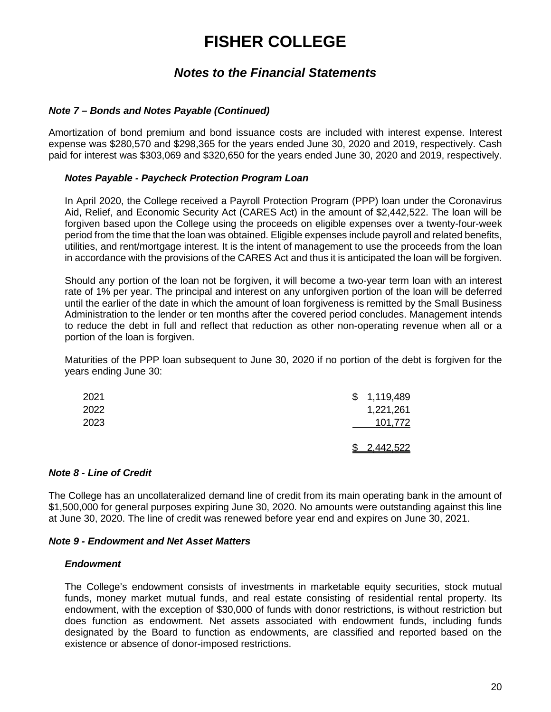## *Notes to the Financial Statements*

#### *Note 7 – Bonds and Notes Payable (Continued)*

Amortization of bond premium and bond issuance costs are included with interest expense. Interest expense was \$280,570 and \$298,365 for the years ended June 30, 2020 and 2019, respectively. Cash paid for interest was \$303,069 and \$320,650 for the years ended June 30, 2020 and 2019, respectively.

#### *Notes Payable - Paycheck Protection Program Loan*

In April 2020, the College received a Payroll Protection Program (PPP) loan under the Coronavirus Aid, Relief, and Economic Security Act (CARES Act) in the amount of \$2,442,522. The loan will be forgiven based upon the College using the proceeds on eligible expenses over a twenty-four-week period from the time that the loan was obtained. Eligible expenses include payroll and related benefits, utilities, and rent/mortgage interest. It is the intent of management to use the proceeds from the loan in accordance with the provisions of the CARES Act and thus it is anticipated the loan will be forgiven.

Should any portion of the loan not be forgiven, it will become a two-year term loan with an interest rate of 1% per year. The principal and interest on any unforgiven portion of the loan will be deferred until the earlier of the date in which the amount of loan forgiveness is remitted by the Small Business Administration to the lender or ten months after the covered period concludes. Management intends to reduce the debt in full and reflect that reduction as other non-operating revenue when all or a portion of the loan is forgiven.

Maturities of the PPP loan subsequent to June 30, 2020 if no portion of the debt is forgiven for the years ending June 30:

| 2021 | \$1,119,489 |
|------|-------------|
| 2022 | 1,221,261   |
| 2023 | 101,772     |
|      | .442.522    |

#### *Note 8 - Line of Credit*

The College has an uncollateralized demand line of credit from its main operating bank in the amount of \$1,500,000 for general purposes expiring June 30, 2020. No amounts were outstanding against this line at June 30, 2020. The line of credit was renewed before year end and expires on June 30, 2021.

#### *Note 9 - Endowment and Net Asset Matters*

#### *Endowment*

The College's endowment consists of investments in marketable equity securities, stock mutual funds, money market mutual funds, and real estate consisting of residential rental property. Its endowment, with the exception of \$30,000 of funds with donor restrictions, is without restriction but does function as endowment. Net assets associated with endowment funds, including funds designated by the Board to function as endowments, are classified and reported based on the existence or absence of donor-imposed restrictions.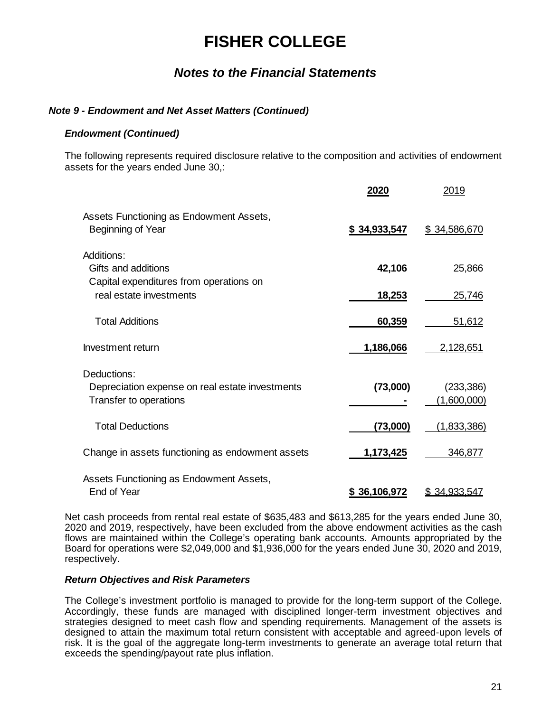# *Notes to the Financial Statements*

### *Note 9 - Endowment and Net Asset Matters (Continued)*

#### *Endowment (Continued)*

The following represents required disclosure relative to the composition and activities of endowment assets for the years ended June 30,:

|                                                                                          | 2020                | 2019                      |
|------------------------------------------------------------------------------------------|---------------------|---------------------------|
| Assets Functioning as Endowment Assets,<br>Beginning of Year                             | \$34,933,547        | \$34,586,670              |
| Additions:                                                                               |                     |                           |
| Gifts and additions                                                                      | 42,106              | 25,866                    |
| Capital expenditures from operations on<br>real estate investments                       | 18,253              | 25,746                    |
| <b>Total Additions</b>                                                                   | 60,359              | 51,612                    |
| Investment return                                                                        | 1,186,066           | 2,128,651                 |
| Deductions:<br>Depreciation expense on real estate investments<br>Transfer to operations | (73,000)            | (233, 386)<br>(1,600,000) |
| <b>Total Deductions</b>                                                                  | (73,000)            | (1,833,386)               |
| Change in assets functioning as endowment assets                                         | 1,173,425           | 346,877                   |
| Assets Functioning as Endowment Assets,<br>End of Year                                   | <u>\$36,106,972</u> | \$34.933.547              |

Net cash proceeds from rental real estate of \$635,483 and \$613,285 for the years ended June 30, 2020 and 2019, respectively, have been excluded from the above endowment activities as the cash flows are maintained within the College's operating bank accounts. Amounts appropriated by the Board for operations were \$2,049,000 and \$1,936,000 for the years ended June 30, 2020 and 2019, respectively.

#### *Return Objectives and Risk Parameters*

The College's investment portfolio is managed to provide for the long-term support of the College. Accordingly, these funds are managed with disciplined longer-term investment objectives and strategies designed to meet cash flow and spending requirements. Management of the assets is designed to attain the maximum total return consistent with acceptable and agreed-upon levels of risk. It is the goal of the aggregate long-term investments to generate an average total return that exceeds the spending/payout rate plus inflation.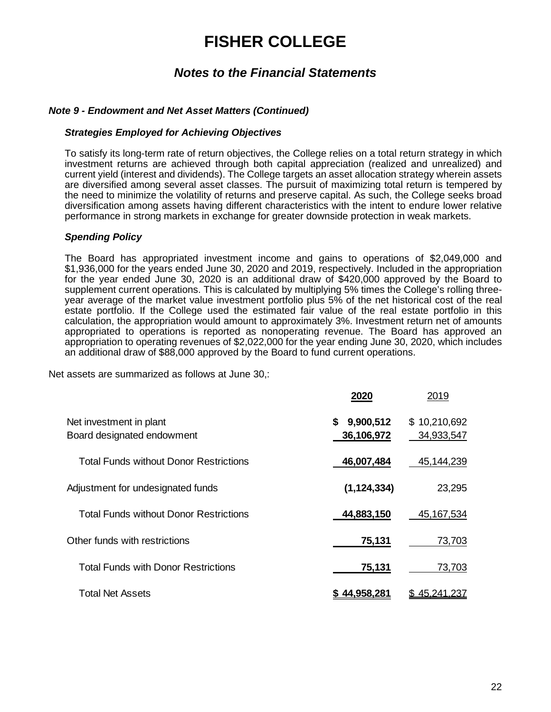## *Notes to the Financial Statements*

#### *Note 9 - Endowment and Net Asset Matters (Continued)*

#### *Strategies Employed for Achieving Objectives*

To satisfy its long-term rate of return objectives, the College relies on a total return strategy in which investment returns are achieved through both capital appreciation (realized and unrealized) and current yield (interest and dividends). The College targets an asset allocation strategy wherein assets are diversified among several asset classes. The pursuit of maximizing total return is tempered by the need to minimize the volatility of returns and preserve capital. As such, the College seeks broad diversification among assets having different characteristics with the intent to endure lower relative performance in strong markets in exchange for greater downside protection in weak markets.

#### *Spending Policy*

The Board has appropriated investment income and gains to operations of \$2,049,000 and \$1,936,000 for the years ended June 30, 2020 and 2019, respectively. Included in the appropriation for the year ended June 30, 2020 is an additional draw of \$420,000 approved by the Board to supplement current operations. This is calculated by multiplying 5% times the College's rolling threeyear average of the market value investment portfolio plus 5% of the net historical cost of the real estate portfolio. If the College used the estimated fair value of the real estate portfolio in this calculation, the appropriation would amount to approximately 3%. Investment return net of amounts appropriated to operations is reported as nonoperating revenue. The Board has approved an appropriation to operating revenues of \$2,022,000 for the year ending June 30, 2020, which includes an additional draw of \$88,000 approved by the Board to fund current operations.

Net assets are summarized as follows at June 30,:

|                                                       | 2020                          | 2019                       |
|-------------------------------------------------------|-------------------------------|----------------------------|
| Net investment in plant<br>Board designated endowment | 9,900,512<br>\$<br>36,106,972 | \$10,210,692<br>34,933,547 |
| <b>Total Funds without Donor Restrictions</b>         | 46,007,484                    | 45,144,239                 |
| Adjustment for undesignated funds                     | (1, 124, 334)                 | 23,295                     |
| <b>Total Funds without Donor Restrictions</b>         | 44,883,150                    | 45, 167, 534               |
| Other funds with restrictions                         | 75,131                        | 73,703                     |
| <b>Total Funds with Donor Restrictions</b>            | 75,131                        | 73,703                     |
| <b>Total Net Assets</b>                               | 44,958,281                    | 45.241                     |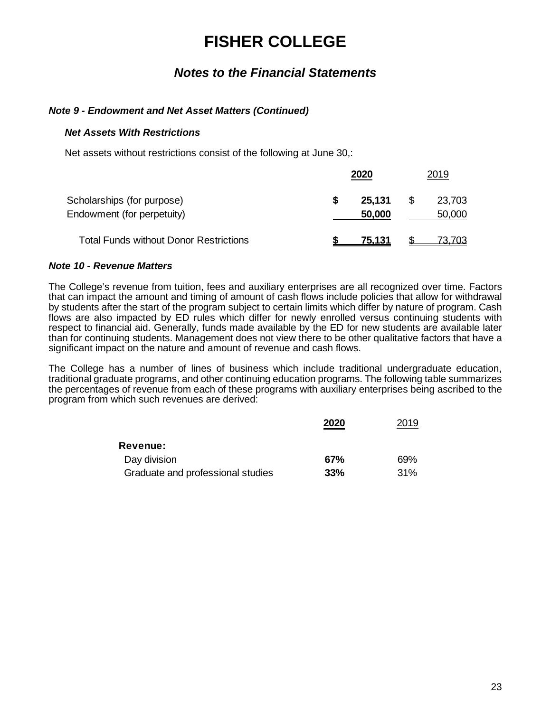# *Notes to the Financial Statements*

#### *Note 9 - Endowment and Net Asset Matters (Continued)*

#### *Net Assets With Restrictions*

Net assets without restrictions consist of the following at June 30,:

|                                                          | 2020             | 2019                   |
|----------------------------------------------------------|------------------|------------------------|
| Scholarships (for purpose)<br>Endowment (for perpetuity) | 25,131<br>50,000 | \$<br>23,703<br>50,000 |
| <b>Total Funds without Donor Restrictions</b>            | 75.131           | 73.703                 |

#### *Note 10 - Revenue Matters*

The College's revenue from tuition, fees and auxiliary enterprises are all recognized over time. Factors that can impact the amount and timing of amount of cash flows include policies that allow for withdrawal by students after the start of the program subject to certain limits which differ by nature of program. Cash flows are also impacted by ED rules which differ for newly enrolled versus continuing students with respect to financial aid. Generally, funds made available by the ED for new students are available later than for continuing students. Management does not view there to be other qualitative factors that have a significant impact on the nature and amount of revenue and cash flows.

The College has a number of lines of business which include traditional undergraduate education, traditional graduate programs, and other continuing education programs. The following table summarizes the percentages of revenue from each of these programs with auxiliary enterprises being ascribed to the program from which such revenues are derived:

|                                   | 2020 | 2019 |
|-----------------------------------|------|------|
| Revenue:                          |      |      |
| Day division                      | 67%  | 69%  |
| Graduate and professional studies | 33%  | 31%  |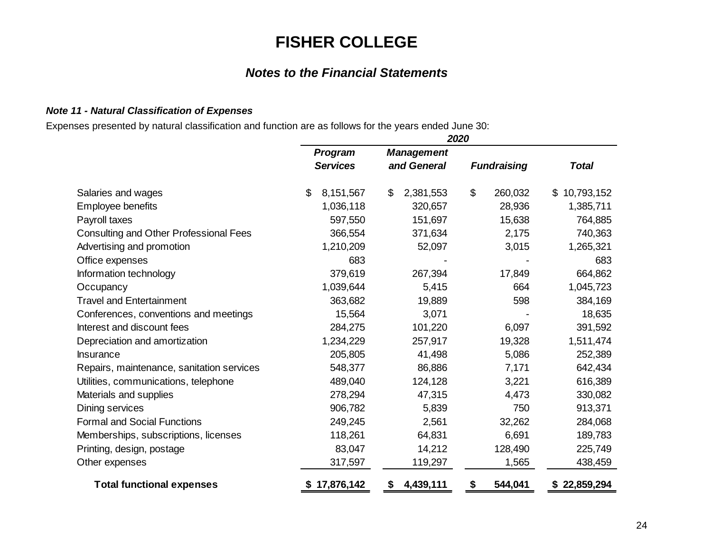# *Notes to the Financial Statements*

### *Note 11 - Natural Classification of Expenses*

Expenses presented by natural classification and function are as follows for the years ended June 30:

|                                               | 2020            |                   |                           |                  |
|-----------------------------------------------|-----------------|-------------------|---------------------------|------------------|
|                                               | <b>Program</b>  | <b>Management</b> |                           |                  |
|                                               | <b>Services</b> | and General       | <b>Fundraising</b>        | <b>Total</b>     |
| Salaries and wages                            | \$<br>8,151,567 | \$<br>2,381,553   | $\mathfrak{S}$<br>260,032 | 10,793,152<br>\$ |
| Employee benefits                             | 1,036,118       | 320,657           | 28,936                    | 1,385,711        |
| Payroll taxes                                 | 597,550         | 151,697           | 15,638                    | 764,885          |
| <b>Consulting and Other Professional Fees</b> | 366,554         | 371,634           | 2,175                     | 740,363          |
| Advertising and promotion                     | 1,210,209       | 52,097            | 3,015                     | 1,265,321        |
| Office expenses                               | 683             |                   |                           | 683              |
| Information technology                        | 379,619         | 267,394           | 17,849                    | 664,862          |
| Occupancy                                     | 1,039,644       | 5,415             | 664                       | 1,045,723        |
| <b>Travel and Entertainment</b>               | 363,682         | 19,889            | 598                       | 384,169          |
| Conferences, conventions and meetings         | 15,564          | 3,071             |                           | 18,635           |
| Interest and discount fees                    | 284,275         | 101,220           | 6,097                     | 391,592          |
| Depreciation and amortization                 | 1,234,229       | 257,917           | 19,328                    | 1,511,474        |
| <b>Insurance</b>                              | 205,805         | 41,498            | 5,086                     | 252,389          |
| Repairs, maintenance, sanitation services     | 548,377         | 86,886            | 7,171                     | 642,434          |
| Utilities, communications, telephone          | 489,040         | 124,128           | 3,221                     | 616,389          |
| Materials and supplies                        | 278,294         | 47,315            | 4,473                     | 330,082          |
| Dining services                               | 906,782         | 5,839             | 750                       | 913,371          |
| <b>Formal and Social Functions</b>            | 249,245         | 2,561             | 32,262                    | 284,068          |
| Memberships, subscriptions, licenses          | 118,261         | 64,831            | 6,691                     | 189,783          |
| Printing, design, postage                     | 83,047          | 14,212            | 128,490                   | 225,749          |
| Other expenses                                | 317,597         | 119,297           | 1,565                     | 438,459          |
| <b>Total functional expenses</b>              | \$17,876,142    | 4,439,111<br>\$   | 544,041<br>\$             | \$22,859,294     |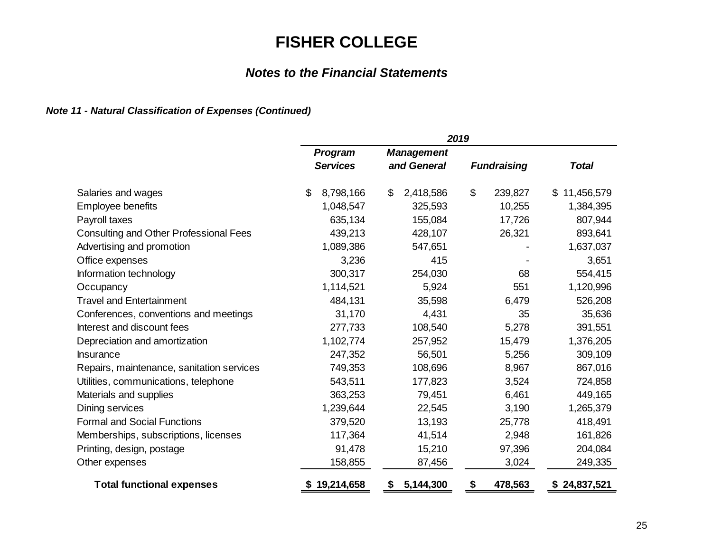# *Notes to the Financial Statements*

## *Note 11 - Natural Classification of Expenses (Continued)*

|                                               | 2019            |                   |                    |              |
|-----------------------------------------------|-----------------|-------------------|--------------------|--------------|
|                                               | Program         | <b>Management</b> |                    |              |
|                                               | <b>Services</b> | and General       | <b>Fundraising</b> | <b>Total</b> |
| Salaries and wages                            | \$<br>8,798,166 | \$<br>2,418,586   | \$<br>239,827      | \$11,456,579 |
| Employee benefits                             | 1,048,547       | 325,593           | 10,255             | 1,384,395    |
| Payroll taxes                                 | 635,134         | 155,084           | 17,726             | 807,944      |
| <b>Consulting and Other Professional Fees</b> | 439,213         | 428,107           | 26,321             | 893,641      |
| Advertising and promotion                     | 1,089,386       | 547,651           |                    | 1,637,037    |
| Office expenses                               | 3,236           | 415               |                    | 3,651        |
| Information technology                        | 300,317         | 254,030           | 68                 | 554,415      |
| Occupancy                                     | 1,114,521       | 5,924             | 551                | 1,120,996    |
| <b>Travel and Entertainment</b>               | 484,131         | 35,598            | 6,479              | 526,208      |
| Conferences, conventions and meetings         | 31,170          | 4,431             | 35                 | 35,636       |
| Interest and discount fees                    | 277,733         | 108,540           | 5,278              | 391,551      |
| Depreciation and amortization                 | 1,102,774       | 257,952           | 15,479             | 1,376,205    |
| <b>Insurance</b>                              | 247,352         | 56,501            | 5,256              | 309,109      |
| Repairs, maintenance, sanitation services     | 749,353         | 108,696           | 8,967              | 867,016      |
| Utilities, communications, telephone          | 543,511         | 177,823           | 3,524              | 724,858      |
| Materials and supplies                        | 363,253         | 79,451            | 6,461              | 449,165      |
| Dining services                               | 1,239,644       | 22,545            | 3,190              | 1,265,379    |
| <b>Formal and Social Functions</b>            | 379,520         | 13,193            | 25,778             | 418,491      |
| Memberships, subscriptions, licenses          | 117,364         | 41,514            | 2,948              | 161,826      |
| Printing, design, postage                     | 91,478          | 15,210            | 97,396             | 204,084      |
| Other expenses                                | 158,855         | 87,456            | 3,024              | 249,335      |
| <b>Total functional expenses</b>              | \$19,214,658    | 5,144,300<br>\$   | \$<br>478,563      | \$24,837,521 |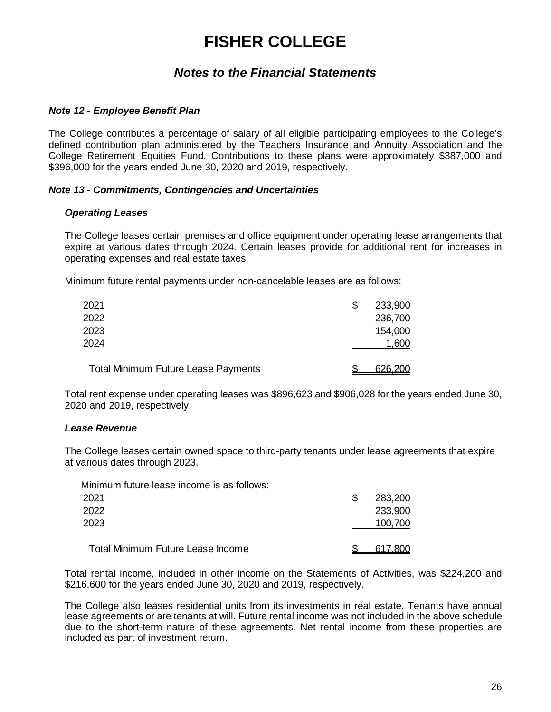## *Notes to the Financial Statements*

#### *Note 12 - Employee Benefit Plan*

The College contributes a percentage of salary of all eligible participating employees to the College's defined contribution plan administered by the Teachers Insurance and Annuity Association and the College Retirement Equities Fund. Contributions to these plans were approximately \$387,000 and \$396,000 for the years ended June 30, 2020 and 2019, respectively.

#### *Note 13 - Commitments, Contingencies and Uncertainties*

#### *Operating Leases*

The College leases certain premises and office equipment under operating lease arrangements that expire at various dates through 2024. Certain leases provide for additional rent for increases in operating expenses and real estate taxes.

Minimum future rental payments under non-cancelable leases are as follows:

| 2021                                       | 233,900 |
|--------------------------------------------|---------|
| 2022                                       | 236,700 |
| 2023                                       | 154,000 |
| 2024                                       | 1,600   |
|                                            |         |
| <b>Total Minimum Future Lease Payments</b> | 626,200 |

Total rent expense under operating leases was \$896,623 and \$906,028 for the years ended June 30, 2020 and 2019, respectively.

#### *Lease Revenue*

The College leases certain owned space to third-party tenants under lease agreements that expire at various dates through 2023.

Minimum future lease income is as follows: 2021 \$ 283,200 2022 233,900

| Total Minimum Future Lease Income | 617.800 |
|-----------------------------------|---------|
|                                   |         |

2023 100,700

Total rental income, included in other income on the Statements of Activities, was \$224,200 and \$216,600 for the years ended June 30, 2020 and 2019, respectively.

The College also leases residential units from its investments in real estate. Tenants have annual lease agreements or are tenants at will. Future rental income was not included in the above schedule due to the short-term nature of these agreements. Net rental income from these properties are included as part of investment return.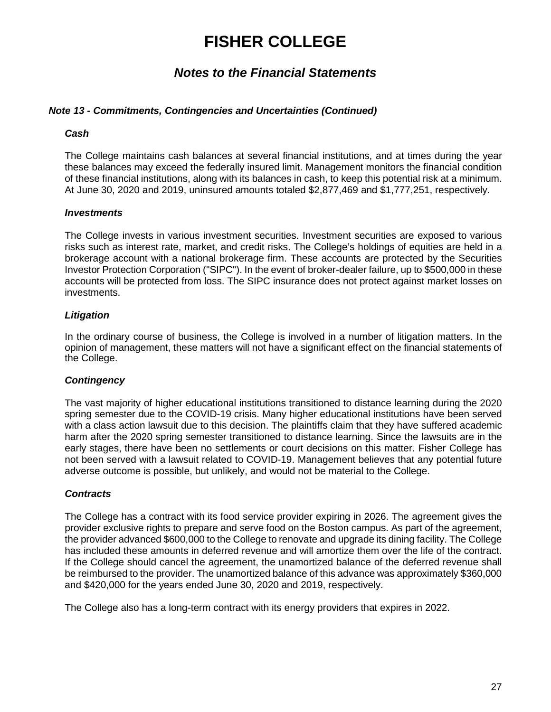# *Notes to the Financial Statements*

### *Note 13 - Commitments, Contingencies and Uncertainties (Continued)*

### *Cash*

The College maintains cash balances at several financial institutions, and at times during the year these balances may exceed the federally insured limit. Management monitors the financial condition of these financial institutions, along with its balances in cash, to keep this potential risk at a minimum. At June 30, 2020 and 2019, uninsured amounts totaled \$2,877,469 and \$1,777,251, respectively.

#### *Investments*

The College invests in various investment securities. Investment securities are exposed to various risks such as interest rate, market, and credit risks. The College's holdings of equities are held in a brokerage account with a national brokerage firm. These accounts are protected by the Securities Investor Protection Corporation ("SIPC"). In the event of broker-dealer failure, up to \$500,000 in these accounts will be protected from loss. The SIPC insurance does not protect against market losses on investments.

## *Litigation*

In the ordinary course of business, the College is involved in a number of litigation matters. In the opinion of management, these matters will not have a significant effect on the financial statements of the College.

## *Contingency*

The vast majority of higher educational institutions transitioned to distance learning during the 2020 spring semester due to the COVID-19 crisis. Many higher educational institutions have been served with a class action lawsuit due to this decision. The plaintiffs claim that they have suffered academic harm after the 2020 spring semester transitioned to distance learning. Since the lawsuits are in the early stages, there have been no settlements or court decisions on this matter. Fisher College has not been served with a lawsuit related to COVID-19. Management believes that any potential future adverse outcome is possible, but unlikely, and would not be material to the College.

#### *Contracts*

The College has a contract with its food service provider expiring in 2026. The agreement gives the provider exclusive rights to prepare and serve food on the Boston campus. As part of the agreement, the provider advanced \$600,000 to the College to renovate and upgrade its dining facility. The College has included these amounts in deferred revenue and will amortize them over the life of the contract. If the College should cancel the agreement, the unamortized balance of the deferred revenue shall be reimbursed to the provider. The unamortized balance of this advance was approximately \$360,000 and \$420,000 for the years ended June 30, 2020 and 2019, respectively.

The College also has a long-term contract with its energy providers that expires in 2022.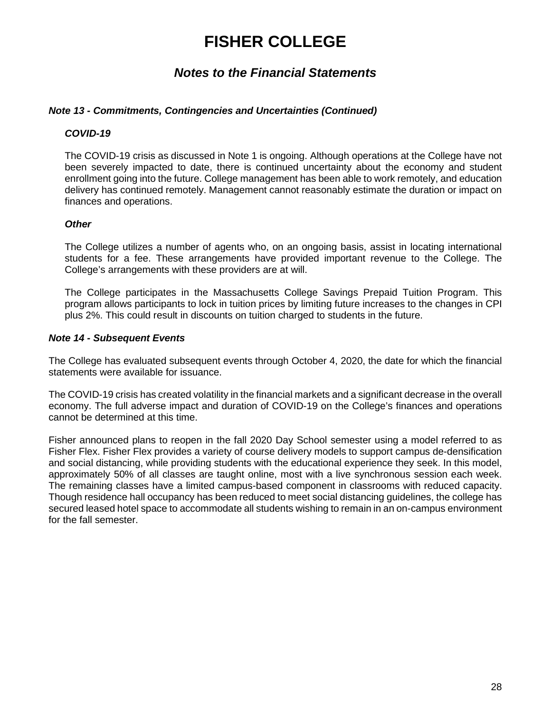## *Notes to the Financial Statements*

### *Note 13 - Commitments, Contingencies and Uncertainties (Continued)*

### *COVID-19*

The COVID-19 crisis as discussed in Note 1 is ongoing. Although operations at the College have not been severely impacted to date, there is continued uncertainty about the economy and student enrollment going into the future. College management has been able to work remotely, and education delivery has continued remotely. Management cannot reasonably estimate the duration or impact on finances and operations.

### *Other*

The College utilizes a number of agents who, on an ongoing basis, assist in locating international students for a fee. These arrangements have provided important revenue to the College. The College's arrangements with these providers are at will.

The College participates in the Massachusetts College Savings Prepaid Tuition Program. This program allows participants to lock in tuition prices by limiting future increases to the changes in CPI plus 2%. This could result in discounts on tuition charged to students in the future.

#### *Note 14 - Subsequent Events*

The College has evaluated subsequent events through October 4, 2020, the date for which the financial statements were available for issuance.

The COVID-19 crisis has created volatility in the financial markets and a significant decrease in the overall economy. The full adverse impact and duration of COVID-19 on the College's finances and operations cannot be determined at this time.

Fisher announced plans to reopen in the fall 2020 Day School semester using a model referred to as Fisher Flex. Fisher Flex provides a variety of course delivery models to support campus de-densification and social distancing, while providing students with the educational experience they seek. In this model, approximately 50% of all classes are taught online, most with a live synchronous session each week. The remaining classes have a limited campus-based component in classrooms with reduced capacity. Though residence hall occupancy has been reduced to meet social distancing guidelines, the college has secured leased hotel space to accommodate all students wishing to remain in an on-campus environment for the fall semester.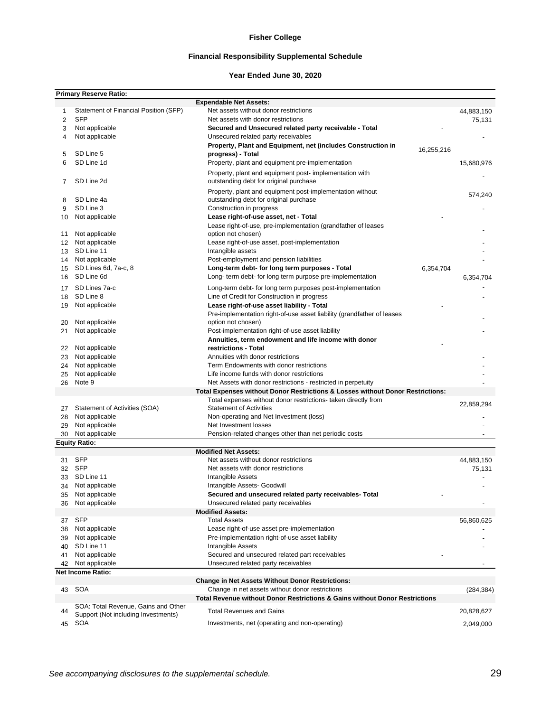#### **Fisher College**

### **Financial Responsibility Supplemental Schedule**

#### **Year Ended June 30, 2020**

|  | Primary Reserve Ratio: |  |
|--|------------------------|--|
|--|------------------------|--|

|                | <b>Primary Reserve Ratio:</b>                       |                                                                                |            |
|----------------|-----------------------------------------------------|--------------------------------------------------------------------------------|------------|
|                |                                                     | <b>Expendable Net Assets:</b><br>Net assets without donor restrictions         |            |
| 1              | Statement of Financial Position (SFP)<br><b>SFP</b> | Net assets with donor restrictions                                             | 44,883,150 |
| $\overline{2}$ |                                                     |                                                                                | 75,131     |
| 3              | Not applicable                                      | Secured and Unsecured related party receivable - Total                         |            |
| 4              | Not applicable                                      | Unsecured related party receivables                                            |            |
|                |                                                     | Property, Plant and Equipment, net (includes Construction in<br>16,255,216     |            |
| 5              | SD Line 5                                           | progress) - Total                                                              |            |
| 6              | SD Line 1d                                          | Property, plant and equipment pre-implementation                               | 15,680,976 |
|                |                                                     | Property, plant and equipment post-implementation with                         |            |
| 7              | SD Line 2d                                          | outstanding debt for original purchase                                         |            |
|                |                                                     | Property, plant and equipment post-implementation without                      | 574,240    |
| 8              | SD Line 4a                                          | outstanding debt for original purchase                                         |            |
| 9              | SD Line 3                                           | Construction in progress                                                       |            |
| 10             | Not applicable                                      | Lease right-of-use asset, net - Total                                          |            |
|                |                                                     | Lease right-of-use, pre-implementation (grandfather of leases                  |            |
| 11             | Not applicable                                      | option not chosen)                                                             |            |
| 12             | Not applicable                                      | Lease right-of-use asset, post-implementation                                  |            |
| 13             | SD Line 11                                          | Intangible assets                                                              |            |
| 14             | Not applicable                                      | Post-employment and pension liabilities                                        |            |
| 15             | SD Lines 6d, 7a-c, 8                                | Long-term debt- for long term purposes - Total<br>6,354,704                    |            |
| 16             | SD Line 6d                                          | Long- term debt- for long term purpose pre-implementation                      | 6,354,704  |
| 17             | SD Lines 7a-c                                       | Long-term debt- for long term purposes post-implementation                     |            |
| 18             | SD Line 8                                           | Line of Credit for Construction in progress                                    |            |
| 19             | Not applicable                                      | Lease right-of-use asset liability - Total                                     |            |
|                |                                                     | Pre-implementation right-of-use asset liability (grandfather of leases         |            |
| 20             | Not applicable                                      | option not chosen)                                                             |            |
| 21             | Not applicable                                      | Post-implementation right-of-use asset liability                               |            |
|                |                                                     | Annuities, term endowment and life income with donor                           |            |
| 22             | Not applicable                                      | restrictions - Total                                                           |            |
| 23             | Not applicable                                      | Annuities with donor restrictions                                              |            |
| 24             | Not applicable                                      | Term Endowments with donor restrictions                                        |            |
| 25             | Not applicable                                      | Life income funds with donor restrictions                                      |            |
| 26             | Note 9                                              | Net Assets with donor restrictions - restricted in perpetuity                  |            |
|                |                                                     | Total Expenses without Donor Restrictions & Losses without Donor Restrictions: |            |
|                |                                                     | Total expenses without donor restrictions- taken directly from                 |            |
| 27             | Statement of Activities (SOA)                       | <b>Statement of Activities</b>                                                 | 22,859,294 |
| 28             | Not applicable                                      | Non-operating and Net Investment (loss)                                        |            |
| 29             | Not applicable                                      | Net Investment losses                                                          |            |
| 30             | Not applicable                                      | Pension-related changes other than net periodic costs                          |            |
|                | <b>Equity Ratio:</b>                                |                                                                                |            |
|                |                                                     | <b>Modified Net Assets:</b>                                                    |            |
| 31             | SFP                                                 | Net assets without donor restrictions                                          | 44,883,150 |
| 32             | <b>SFP</b>                                          | Net assets with donor restrictions                                             | 75,131     |
| 33             | SD Line 11                                          | Intangible Assets                                                              |            |
| 34             | Not applicable                                      | Intangible Assets- Goodwill                                                    |            |
| 35             |                                                     | Secured and unsecured related party receivables- Total                         |            |
|                | Not applicable                                      |                                                                                |            |
|                | 36 Not applicable                                   | Unsecured related party receivables                                            |            |
|                |                                                     | <b>Modified Assets:</b>                                                        |            |
| 37             | SFP                                                 | <b>Total Assets</b>                                                            | 56,860,625 |
| 38             | Not applicable                                      | Lease right-of-use asset pre-implementation                                    |            |
| 39             | Not applicable                                      | Pre-implementation right-of-use asset liability                                |            |
| 40             | SD Line 11                                          | Intangible Assets                                                              |            |
| 41             | Not applicable                                      | Secured and unsecured related part receivables                                 |            |
| 42             | Not applicable                                      | Unsecured related party receivables                                            |            |
|                | <b>Net Income Ratio:</b>                            |                                                                                |            |
|                |                                                     | <b>Change in Net Assets Without Donor Restrictions:</b>                        |            |
|                | 43 SOA                                              | Change in net assets without donor restrictions                                | (284, 384) |
|                |                                                     | Total Revenue without Donor Restrictions & Gains without Donor Restrictions    |            |
| 44             | SOA: Total Revenue, Gains and Other                 | <b>Total Revenues and Gains</b>                                                | 20,828,627 |
|                | Support (Not including Investments)                 |                                                                                |            |
| 45             | SOA                                                 | Investments, net (operating and non-operating)                                 | 2,049,000  |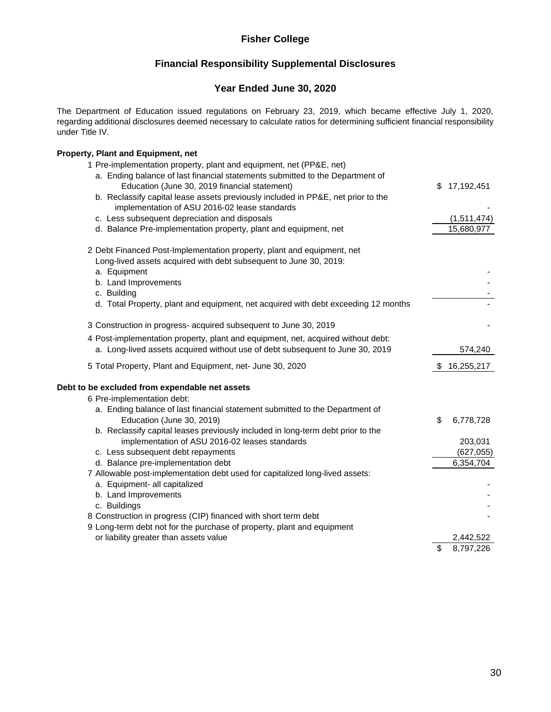## **Fisher College**

### **Financial Responsibility Supplemental Disclosures**

### **Year Ended June 30, 2020**

The Department of Education issued regulations on February 23, 2019, which became effective July 1, 2020, regarding additional disclosures deemed necessary to calculate ratios for determining sufficient financial responsibility under Title IV.

#### **Property, Plant and Equipment, net**

| 1 Pre-implementation property, plant and equipment, net (PP&E, net)<br>a. Ending balance of last financial statements submitted to the Department of |                              |
|------------------------------------------------------------------------------------------------------------------------------------------------------|------------------------------|
| Education (June 30, 2019 financial statement)                                                                                                        | \$17,192,451                 |
| b. Reclassify capital lease assets previously included in PP&E, net prior to the                                                                     |                              |
| implementation of ASU 2016-02 lease standards                                                                                                        |                              |
| c. Less subsequent depreciation and disposals                                                                                                        | (1,511,474)                  |
| d. Balance Pre-implementation property, plant and equipment, net                                                                                     | 15,680,977                   |
| 2 Debt Financed Post-Implementation property, plant and equipment, net                                                                               |                              |
| Long-lived assets acquired with debt subsequent to June 30, 2019:                                                                                    |                              |
| a. Equipment                                                                                                                                         |                              |
| b. Land Improvements                                                                                                                                 |                              |
| c. Building                                                                                                                                          |                              |
| d. Total Property, plant and equipment, net acquired with debt exceeding 12 months                                                                   |                              |
| 3 Construction in progress- acquired subsequent to June 30, 2019                                                                                     |                              |
| 4 Post-implementation property, plant and equipment, net, acquired without debt:                                                                     |                              |
| a. Long-lived assets acquired without use of debt subsequent to June 30, 2019                                                                        | 574,240                      |
| 5 Total Property, Plant and Equipment, net- June 30, 2020                                                                                            | \$16,255,217                 |
| Debt to be excluded from expendable net assets                                                                                                       |                              |
| 6 Pre-implementation debt:                                                                                                                           |                              |
| a. Ending balance of last financial statement submitted to the Department of                                                                         |                              |
| Education (June 30, 2019)                                                                                                                            | \$<br>6,778,728              |
| b. Reclassify capital leases previously included in long-term debt prior to the                                                                      |                              |
| implementation of ASU 2016-02 leases standards                                                                                                       | 203,031                      |
| c. Less subsequent debt repayments                                                                                                                   | (627, 055)                   |
| d. Balance pre-implementation debt                                                                                                                   | 6,354,704                    |
| 7 Allowable post-implementation debt used for capitalized long-lived assets:                                                                         |                              |
| a. Equipment- all capitalized                                                                                                                        |                              |
|                                                                                                                                                      |                              |
| b. Land Improvements                                                                                                                                 |                              |
| c. Buildings                                                                                                                                         |                              |
| 8 Construction in progress (CIP) financed with short term debt                                                                                       |                              |
| 9 Long-term debt not for the purchase of property, plant and equipment                                                                               |                              |
| or liability greater than assets value                                                                                                               | \$<br>2,442,522<br>8,797,226 |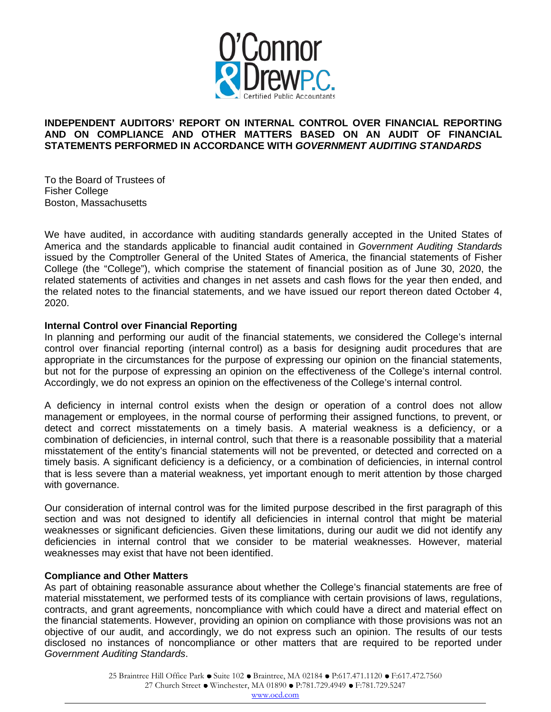

#### **INDEPENDENT AUDITORS' REPORT ON INTERNAL CONTROL OVER FINANCIAL REPORTING AND ON COMPLIANCE AND OTHER MATTERS BASED ON AN AUDIT OF FINANCIAL STATEMENTS PERFORMED IN ACCORDANCE WITH** *GOVERNMENT AUDITING STANDARDS*

To the Board of Trustees of Fisher College Boston, Massachusetts

We have audited, in accordance with auditing standards generally accepted in the United States of America and the standards applicable to financial audit contained in *Government Auditing Standards* issued by the Comptroller General of the United States of America, the financial statements of Fisher College (the "College"), which comprise the statement of financial position as of June 30, 2020, the related statements of activities and changes in net assets and cash flows for the year then ended, and the related notes to the financial statements, and we have issued our report thereon dated October 4, 2020.

#### **Internal Control over Financial Reporting**

In planning and performing our audit of the financial statements, we considered the College's internal control over financial reporting (internal control) as a basis for designing audit procedures that are appropriate in the circumstances for the purpose of expressing our opinion on the financial statements, but not for the purpose of expressing an opinion on the effectiveness of the College's internal control. Accordingly, we do not express an opinion on the effectiveness of the College's internal control.

A deficiency in internal control exists when the design or operation of a control does not allow management or employees, in the normal course of performing their assigned functions, to prevent, or detect and correct misstatements on a timely basis. A material weakness is a deficiency, or a combination of deficiencies, in internal control, such that there is a reasonable possibility that a material misstatement of the entity's financial statements will not be prevented, or detected and corrected on a timely basis. A significant deficiency is a deficiency, or a combination of deficiencies, in internal control that is less severe than a material weakness, yet important enough to merit attention by those charged with governance.

Our consideration of internal control was for the limited purpose described in the first paragraph of this section and was not designed to identify all deficiencies in internal control that might be material weaknesses or significant deficiencies. Given these limitations, during our audit we did not identify any deficiencies in internal control that we consider to be material weaknesses. However, material weaknesses may exist that have not been identified.

#### **Compliance and Other Matters**

As part of obtaining reasonable assurance about whether the College's financial statements are free of material misstatement, we performed tests of its compliance with certain provisions of laws, regulations, contracts, and grant agreements, noncompliance with which could have a direct and material effect on the financial statements. However, providing an opinion on compliance with those provisions was not an objective of our audit, and accordingly, we do not express such an opinion. The results of our tests disclosed no instances of noncompliance or other matters that are required to be reported under *Government Auditing Standards*.